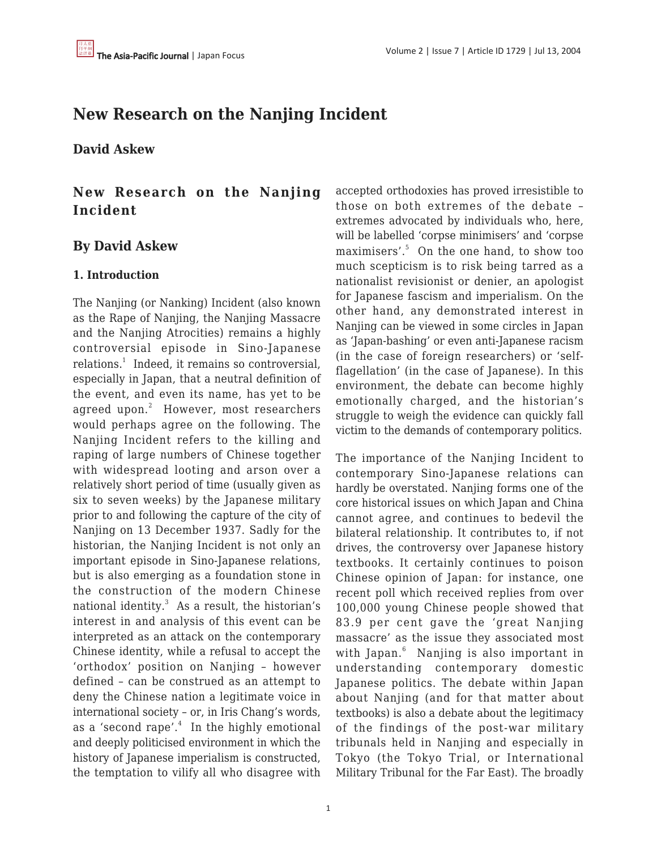# **New Research on the Nanjing Incident**

**David Askew**

**New Research on the Nanjing Incident**

# **By David Askew**

# **1. Introduction**

The Nanjing (or Nanking) Incident (also known as the Rape of Nanjing, the Nanjing Massacre and the Nanjing Atrocities) remains a highly controversial episode in Sino-Japanese relations.<sup>1</sup> Indeed, it remains so controversial, especially in Japan, that a neutral definition of the event, and even its name, has yet to be  $\mathrm{agreed}\,$  upon. $^2$  However, most researchers would perhaps agree on the following. The Nanjing Incident refers to the killing and raping of large numbers of Chinese together with widespread looting and arson over a relatively short period of time (usually given as six to seven weeks) by the Japanese military prior to and following the capture of the city of Nanjing on 13 December 1937. Sadly for the historian, the Nanjing Incident is not only an important episode in Sino-Japanese relations, but is also emerging as a foundation stone in the construction of the modern Chinese national identity. $^3$  As a result, the historian's interest in and analysis of this event can be interpreted as an attack on the contemporary Chinese identity, while a refusal to accept the 'orthodox' position on Nanjing – however defined – can be construed as an attempt to deny the Chinese nation a legitimate voice in international society – or, in Iris Chang's words, as a 'second rape'.<sup>4</sup> In the highly emotional and deeply politicised environment in which the history of Japanese imperialism is constructed, the temptation to vilify all who disagree with

accepted orthodoxies has proved irresistible to those on both extremes of the debate – extremes advocated by individuals who, here, will be labelled 'corpse minimisers' and 'corpse maximisers'.<sup>5</sup> On the one hand, to show too much scepticism is to risk being tarred as a nationalist revisionist or denier, an apologist for Japanese fascism and imperialism. On the other hand, any demonstrated interest in Nanjing can be viewed in some circles in Japan as 'Japan-bashing' or even anti-Japanese racism (in the case of foreign researchers) or 'selfflagellation' (in the case of Japanese). In this environment, the debate can become highly emotionally charged, and the historian's struggle to weigh the evidence can quickly fall victim to the demands of contemporary politics.

The importance of the Nanjing Incident to contemporary Sino-Japanese relations can hardly be overstated. Nanjing forms one of the core historical issues on which Japan and China cannot agree, and continues to bedevil the bilateral relationship. It contributes to, if not drives, the controversy over Japanese history textbooks. It certainly continues to poison Chinese opinion of Japan: for instance, one recent poll which received replies from over 100,000 young Chinese people showed that 83.9 per cent gave the 'great Nanjing massacre' as the issue they associated most with Japan.<sup>6</sup> Nanjing is also important in understanding contemporary domestic Japanese politics. The debate within Japan about Nanjing (and for that matter about textbooks) is also a debate about the legitimacy of the findings of the post-war military tribunals held in Nanjing and especially in Tokyo (the Tokyo Trial, or International Military Tribunal for the Far East). The broadly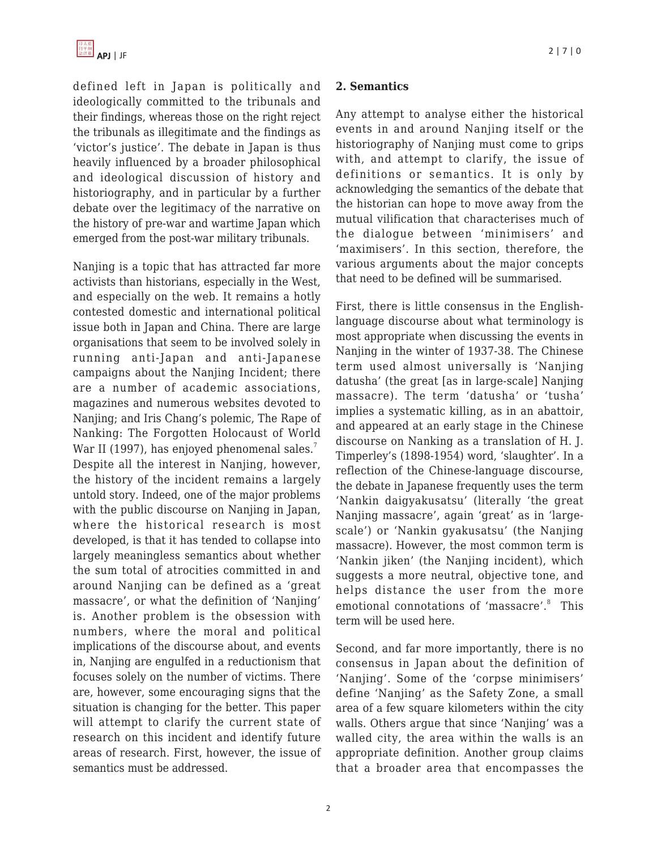defined left in Japan is politically and ideologically committed to the tribunals and their findings, whereas those on the right reject the tribunals as illegitimate and the findings as 'victor's justice'. The debate in Japan is thus heavily influenced by a broader philosophical and ideological discussion of history and historiography, and in particular by a further debate over the legitimacy of the narrative on the history of pre-war and wartime Japan which emerged from the post-war military tribunals.

Nanjing is a topic that has attracted far more activists than historians, especially in the West, and especially on the web. It remains a hotly contested domestic and international political issue both in Japan and China. There are large organisations that seem to be involved solely in running anti-Japan and anti-Japanese campaigns about the Nanjing Incident; there are a number of academic associations, magazines and numerous websites devoted to Nanjing; and Iris Chang's polemic, The Rape of Nanking: The Forgotten Holocaust of World War II (1997), has enjoyed phenomenal sales.<sup>7</sup> Despite all the interest in Nanjing, however, the history of the incident remains a largely untold story. Indeed, one of the major problems with the public discourse on Nanjing in Japan, where the historical research is most developed, is that it has tended to collapse into largely meaningless semantics about whether the sum total of atrocities committed in and around Nanjing can be defined as a 'great massacre', or what the definition of 'Nanjing' is. Another problem is the obsession with numbers, where the moral and political implications of the discourse about, and events in, Nanjing are engulfed in a reductionism that focuses solely on the number of victims. There are, however, some encouraging signs that the situation is changing for the better. This paper will attempt to clarify the current state of research on this incident and identify future areas of research. First, however, the issue of semantics must be addressed.

#### **2. Semantics**

Any attempt to analyse either the historical events in and around Nanjing itself or the historiography of Nanjing must come to grips with, and attempt to clarify, the issue of definitions or semantics. It is only by acknowledging the semantics of the debate that the historian can hope to move away from the mutual vilification that characterises much of the dialogue between 'minimisers' and 'maximisers'. In this section, therefore, the various arguments about the major concepts that need to be defined will be summarised.

First, there is little consensus in the Englishlanguage discourse about what terminology is most appropriate when discussing the events in Nanjing in the winter of 1937-38. The Chinese term used almost universally is 'Nanjing datusha' (the great [as in large-scale] Nanjing massacre). The term 'datusha' or 'tusha' implies a systematic killing, as in an abattoir, and appeared at an early stage in the Chinese discourse on Nanking as a translation of H. J. Timperley's (1898-1954) word, 'slaughter'. In a reflection of the Chinese-language discourse, the debate in Japanese frequently uses the term 'Nankin daigyakusatsu' (literally 'the great Nanjing massacre', again 'great' as in 'largescale') or 'Nankin gyakusatsu' (the Nanjing massacre). However, the most common term is 'Nankin jiken' (the Nanjing incident), which suggests a more neutral, objective tone, and helps distance the user from the more emotional connotations of 'massacre'.<sup>8</sup> This term will be used here.

Second, and far more importantly, there is no consensus in Japan about the definition of 'Nanjing'. Some of the 'corpse minimisers' define 'Nanjing' as the Safety Zone, a small area of a few square kilometers within the city walls. Others argue that since 'Nanjing' was a walled city, the area within the walls is an appropriate definition. Another group claims that a broader area that encompasses the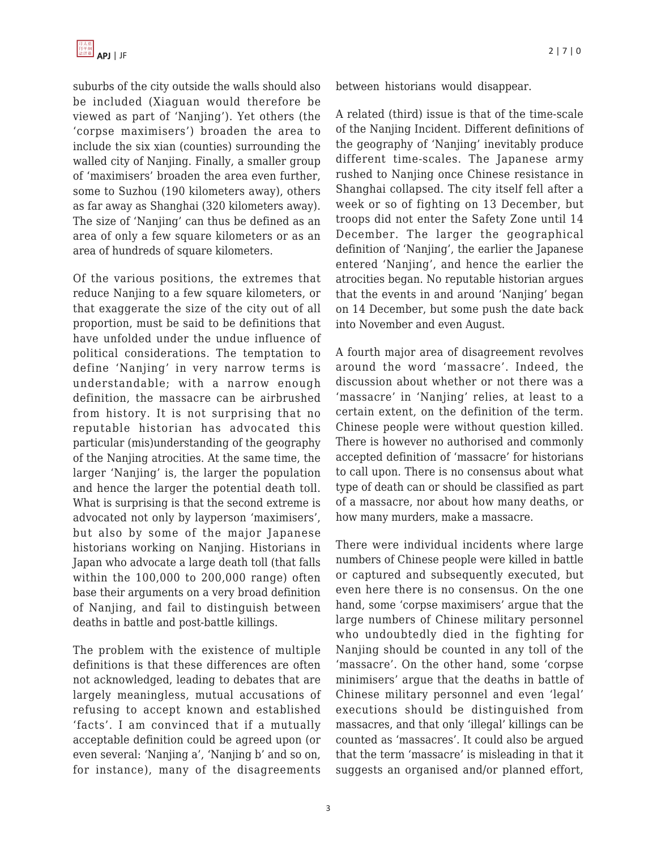suburbs of the city outside the walls should also be included (Xiaguan would therefore be viewed as part of 'Nanjing'). Yet others (the 'corpse maximisers') broaden the area to include the six xian (counties) surrounding the walled city of Nanjing. Finally, a smaller group of 'maximisers' broaden the area even further, some to Suzhou (190 kilometers away), others as far away as Shanghai (320 kilometers away). The size of 'Nanjing' can thus be defined as an area of only a few square kilometers or as an area of hundreds of square kilometers.

Of the various positions, the extremes that reduce Nanjing to a few square kilometers, or that exaggerate the size of the city out of all proportion, must be said to be definitions that have unfolded under the undue influence of political considerations. The temptation to define 'Nanjing' in very narrow terms is understandable; with a narrow enough definition, the massacre can be airbrushed from history. It is not surprising that no reputable historian has advocated this particular (mis)understanding of the geography of the Nanjing atrocities. At the same time, the larger 'Nanjing' is, the larger the population and hence the larger the potential death toll. What is surprising is that the second extreme is advocated not only by layperson 'maximisers', but also by some of the major Japanese historians working on Nanjing. Historians in Japan who advocate a large death toll (that falls within the 100,000 to 200,000 range) often base their arguments on a very broad definition of Nanjing, and fail to distinguish between deaths in battle and post-battle killings.

The problem with the existence of multiple definitions is that these differences are often not acknowledged, leading to debates that are largely meaningless, mutual accusations of refusing to accept known and established 'facts'. I am convinced that if a mutually acceptable definition could be agreed upon (or even several: 'Nanjing a', 'Nanjing b' and so on, for instance), many of the disagreements between historians would disappear.

A related (third) issue is that of the time-scale of the Nanjing Incident. Different definitions of the geography of 'Nanjing' inevitably produce different time-scales. The Japanese army rushed to Nanjing once Chinese resistance in Shanghai collapsed. The city itself fell after a week or so of fighting on 13 December, but troops did not enter the Safety Zone until 14 December. The larger the geographical definition of 'Nanjing', the earlier the Japanese entered 'Nanjing', and hence the earlier the atrocities began. No reputable historian argues that the events in and around 'Nanjing' began on 14 December, but some push the date back into November and even August.

A fourth major area of disagreement revolves around the word 'massacre'. Indeed, the discussion about whether or not there was a 'massacre' in 'Nanjing' relies, at least to a certain extent, on the definition of the term. Chinese people were without question killed. There is however no authorised and commonly accepted definition of 'massacre' for historians to call upon. There is no consensus about what type of death can or should be classified as part of a massacre, nor about how many deaths, or how many murders, make a massacre.

There were individual incidents where large numbers of Chinese people were killed in battle or captured and subsequently executed, but even here there is no consensus. On the one hand, some 'corpse maximisers' argue that the large numbers of Chinese military personnel who undoubtedly died in the fighting for Nanjing should be counted in any toll of the 'massacre'. On the other hand, some 'corpse minimisers' argue that the deaths in battle of Chinese military personnel and even 'legal' executions should be distinguished from massacres, and that only 'illegal' killings can be counted as 'massacres'. It could also be argued that the term 'massacre' is misleading in that it suggests an organised and/or planned effort,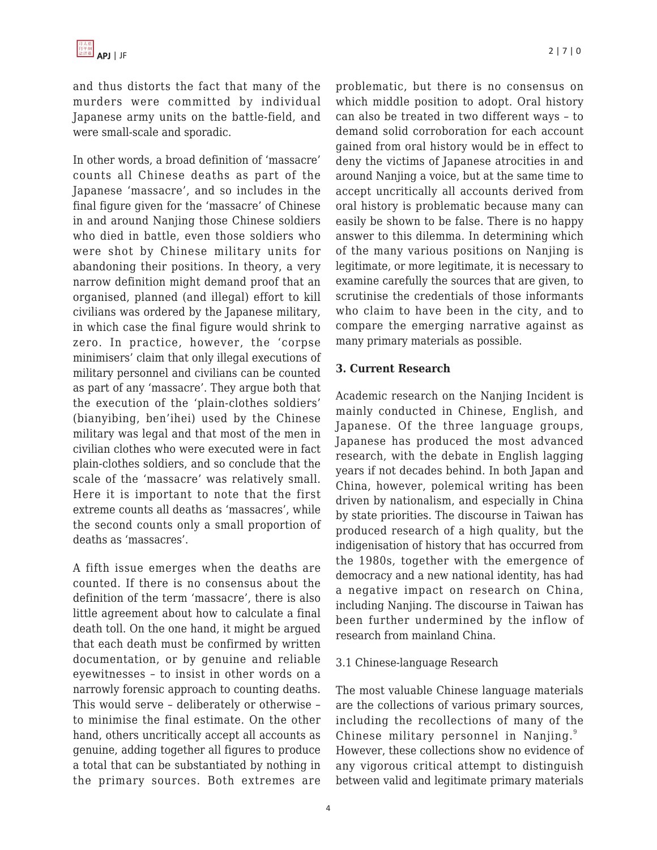and thus distorts the fact that many of the murders were committed by individual Japanese army units on the battle-field, and were small-scale and sporadic.

In other words, a broad definition of 'massacre' counts all Chinese deaths as part of the Japanese 'massacre', and so includes in the final figure given for the 'massacre' of Chinese in and around Nanjing those Chinese soldiers who died in battle, even those soldiers who were shot by Chinese military units for abandoning their positions. In theory, a very narrow definition might demand proof that an organised, planned (and illegal) effort to kill civilians was ordered by the Japanese military, in which case the final figure would shrink to zero. In practice, however, the 'corpse minimisers' claim that only illegal executions of military personnel and civilians can be counted as part of any 'massacre'. They argue both that the execution of the 'plain-clothes soldiers' (bianyibing, ben'ihei) used by the Chinese military was legal and that most of the men in civilian clothes who were executed were in fact plain-clothes soldiers, and so conclude that the scale of the 'massacre' was relatively small. Here it is important to note that the first extreme counts all deaths as 'massacres', while the second counts only a small proportion of deaths as 'massacres'.

A fifth issue emerges when the deaths are counted. If there is no consensus about the definition of the term 'massacre', there is also little agreement about how to calculate a final death toll. On the one hand, it might be argued that each death must be confirmed by written documentation, or by genuine and reliable eyewitnesses – to insist in other words on a narrowly forensic approach to counting deaths. This would serve – deliberately or otherwise – to minimise the final estimate. On the other hand, others uncritically accept all accounts as genuine, adding together all figures to produce a total that can be substantiated by nothing in the primary sources. Both extremes are problematic, but there is no consensus on which middle position to adopt. Oral history can also be treated in two different ways – to demand solid corroboration for each account gained from oral history would be in effect to deny the victims of Japanese atrocities in and around Nanjing a voice, but at the same time to accept uncritically all accounts derived from oral history is problematic because many can easily be shown to be false. There is no happy answer to this dilemma. In determining which of the many various positions on Nanjing is legitimate, or more legitimate, it is necessary to examine carefully the sources that are given, to scrutinise the credentials of those informants who claim to have been in the city, and to compare the emerging narrative against as many primary materials as possible.

#### **3. Current Research**

Academic research on the Nanjing Incident is mainly conducted in Chinese, English, and Japanese. Of the three language groups, Japanese has produced the most advanced research, with the debate in English lagging years if not decades behind. In both Japan and China, however, polemical writing has been driven by nationalism, and especially in China by state priorities. The discourse in Taiwan has produced research of a high quality, but the indigenisation of history that has occurred from the 1980s, together with the emergence of democracy and a new national identity, has had a negative impact on research on China, including Nanjing. The discourse in Taiwan has been further undermined by the inflow of research from mainland China.

#### 3.1 Chinese-language Research

The most valuable Chinese language materials are the collections of various primary sources, including the recollections of many of the Chinese military personnel in Nanjing.<sup>9</sup> However, these collections show no evidence of any vigorous critical attempt to distinguish between valid and legitimate primary materials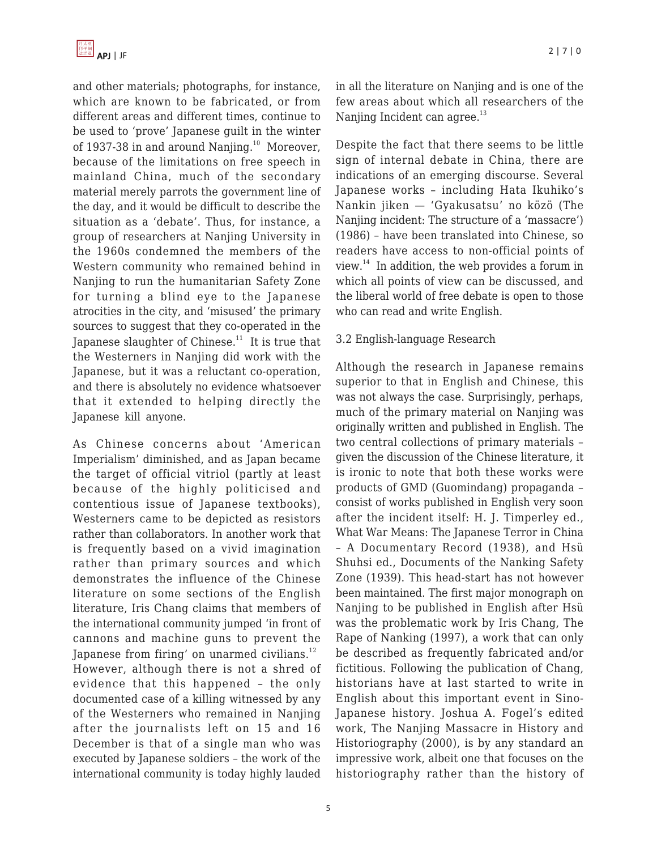and other materials; photographs, for instance, which are known to be fabricated, or from different areas and different times, continue to be used to 'prove' Japanese guilt in the winter of 1937-38 in and around Nanjing.<sup>10</sup> Moreover, because of the limitations on free speech in mainland China, much of the secondary material merely parrots the government line of the day, and it would be difficult to describe the situation as a 'debate'. Thus, for instance, a group of researchers at Nanjing University in the 1960s condemned the members of the Western community who remained behind in Nanjing to run the humanitarian Safety Zone for turning a blind eye to the Japanese atrocities in the city, and 'misused' the primary sources to suggest that they co-operated in the Japanese slaughter of Chinese.<sup>11</sup> It is true that the Westerners in Nanjing did work with the Japanese, but it was a reluctant co-operation, and there is absolutely no evidence whatsoever that it extended to helping directly the Japanese kill anyone.

As Chinese concerns about 'American Imperialism' diminished, and as Japan became the target of official vitriol (partly at least because of the highly politicised and contentious issue of Japanese textbooks), Westerners came to be depicted as resistors rather than collaborators. In another work that is frequently based on a vivid imagination rather than primary sources and which demonstrates the influence of the Chinese literature on some sections of the English literature, Iris Chang claims that members of the international community jumped 'in front of cannons and machine guns to prevent the Japanese from firing' on unarmed civilians.<sup>12</sup> However, although there is not a shred of evidence that this happened – the only documented case of a killing witnessed by any of the Westerners who remained in Nanjing after the journalists left on 15 and 16 December is that of a single man who was executed by Japanese soldiers – the work of the international community is today highly lauded

in all the literature on Nanjing and is one of the few areas about which all researchers of the Nanjing Incident can agree.<sup>13</sup>

Despite the fact that there seems to be little sign of internal debate in China, there are indications of an emerging discourse. Several Japanese works – including Hata Ikuhiko's Nankin jiken — 'Gyakusatsu' no közö (The Nanjing incident: The structure of a 'massacre') (1986) – have been translated into Chinese, so readers have access to non-official points of view. $14$  In addition, the web provides a forum in which all points of view can be discussed, and the liberal world of free debate is open to those who can read and write English.

#### 3.2 English-language Research

Although the research in Japanese remains superior to that in English and Chinese, this was not always the case. Surprisingly, perhaps, much of the primary material on Nanjing was originally written and published in English. The two central collections of primary materials – given the discussion of the Chinese literature, it is ironic to note that both these works were products of GMD (Guomindang) propaganda – consist of works published in English very soon after the incident itself: H. J. Timperley ed., What War Means: The Japanese Terror in China – A Documentary Record (1938), and Hsü Shuhsi ed., Documents of the Nanking Safety Zone (1939). This head-start has not however been maintained. The first major monograph on Nanjing to be published in English after Hsü was the problematic work by Iris Chang, The Rape of Nanking (1997), a work that can only be described as frequently fabricated and/or fictitious. Following the publication of Chang, historians have at last started to write in English about this important event in Sino-Japanese history. Joshua A. Fogel's edited work, The Nanjing Massacre in History and Historiography (2000), is by any standard an impressive work, albeit one that focuses on the historiography rather than the history of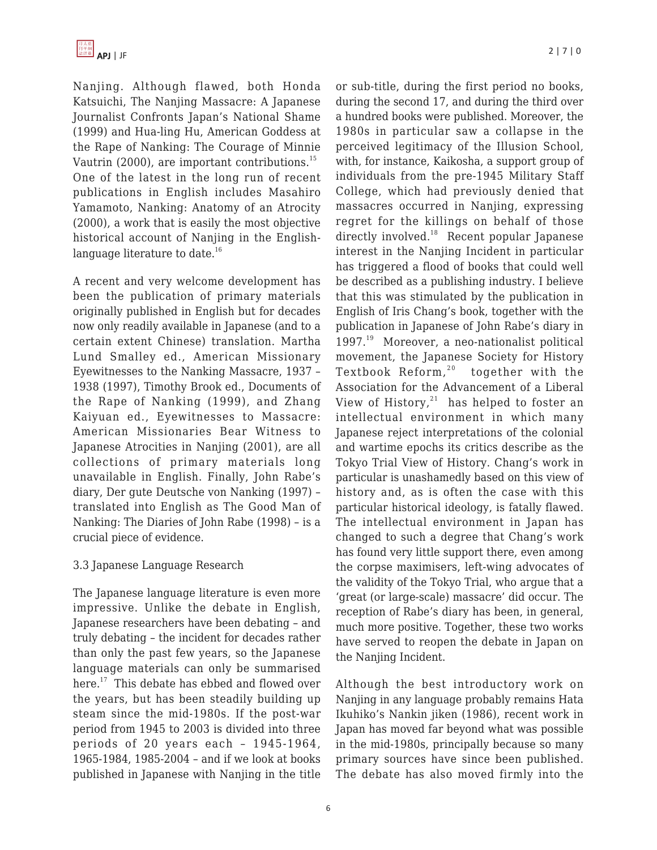

Nanjing. Although flawed, both Honda Katsuichi, The Nanjing Massacre: A Japanese Journalist Confronts Japan's National Shame (1999) and Hua-ling Hu, American Goddess at the Rape of Nanking: The Courage of Minnie Vautrin (2000), are important contributions. $^{15}$ One of the latest in the long run of recent publications in English includes Masahiro Yamamoto, Nanking: Anatomy of an Atrocity (2000), a work that is easily the most objective historical account of Nanjing in the Englishlanguage literature to date.<sup>16</sup>

A recent and very welcome development has been the publication of primary materials originally published in English but for decades now only readily available in Japanese (and to a certain extent Chinese) translation. Martha Lund Smalley ed., American Missionary Eyewitnesses to the Nanking Massacre, 1937 – 1938 (1997), Timothy Brook ed., Documents of the Rape of Nanking (1999), and Zhang Kaiyuan ed., Eyewitnesses to Massacre: American Missionaries Bear Witness to Japanese Atrocities in Nanjing (2001), are all collections of primary materials long unavailable in English. Finally, John Rabe's diary, Der gute Deutsche von Nanking (1997) – translated into English as The Good Man of Nanking: The Diaries of John Rabe (1998) – is a crucial piece of evidence.

# 3.3 Japanese Language Research

The Japanese language literature is even more impressive. Unlike the debate in English, Japanese researchers have been debating – and truly debating – the incident for decades rather than only the past few years, so the Japanese language materials can only be summarised here.<sup>17</sup> This debate has ebbed and flowed over the years, but has been steadily building up steam since the mid-1980s. If the post-war period from 1945 to 2003 is divided into three periods of 20 years each – 1945-1964, 1965-1984, 1985-2004 – and if we look at books published in Japanese with Nanjing in the title or sub-title, during the first period no books, during the second 17, and during the third over a hundred books were published. Moreover, the 1980s in particular saw a collapse in the perceived legitimacy of the Illusion School, with, for instance, Kaikosha, a support group of individuals from the pre-1945 Military Staff College, which had previously denied that massacres occurred in Nanjing, expressing regret for the killings on behalf of those directly involved.<sup>18</sup> Recent popular Japanese interest in the Nanjing Incident in particular has triggered a flood of books that could well be described as a publishing industry. I believe that this was stimulated by the publication in English of Iris Chang's book, together with the publication in Japanese of John Rabe's diary in 1997.<sup>19</sup> Moreover, a neo-nationalist political movement, the Japanese Society for History Textbook Reform, $20$  together with the Association for the Advancement of a Liberal View of History, $21$  has helped to foster an intellectual environment in which many Japanese reject interpretations of the colonial and wartime epochs its critics describe as the Tokyo Trial View of History. Chang's work in particular is unashamedly based on this view of history and, as is often the case with this particular historical ideology, is fatally flawed. The intellectual environment in Japan has changed to such a degree that Chang's work has found very little support there, even among the corpse maximisers, left-wing advocates of the validity of the Tokyo Trial, who argue that a 'great (or large-scale) massacre' did occur. The reception of Rabe's diary has been, in general, much more positive. Together, these two works have served to reopen the debate in Japan on the Nanjing Incident.

Although the best introductory work on Nanjing in any language probably remains Hata Ikuhiko's Nankin jiken (1986), recent work in Japan has moved far beyond what was possible in the mid-1980s, principally because so many primary sources have since been published. The debate has also moved firmly into the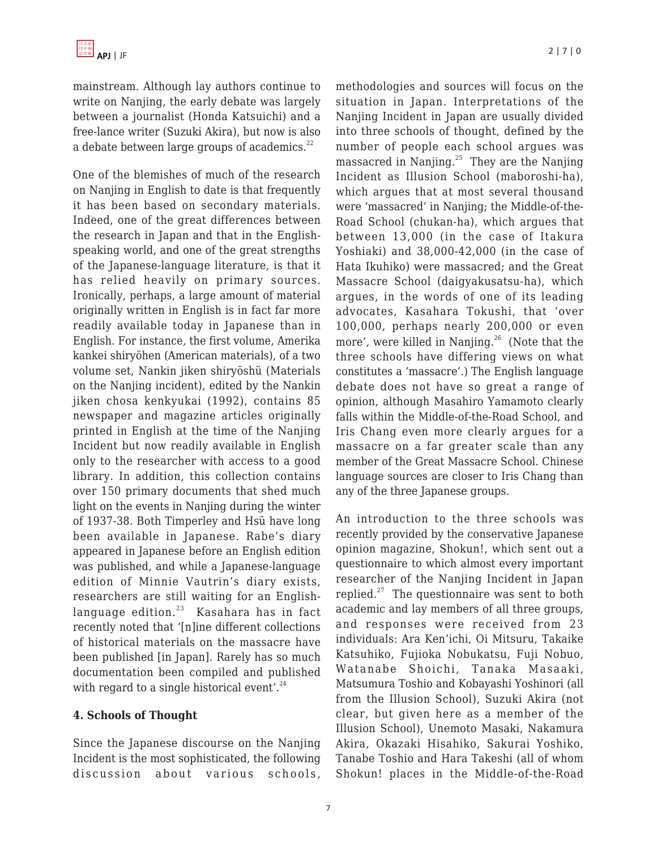mainstream. Although lay authors continue to write on Nanjing, the early debate was largely between a journalist (Honda Katsuichi) and a free-lance writer (Suzuki Akira), but now is also a debate between large groups of academics.<sup>22</sup>

One of the blemishes of much of the research on Nanjing in English to date is that frequently it has been based on secondary materials. Indeed, one of the great differences between the research in Japan and that in the Englishspeaking world, and one of the great strengths of the Japanese-language literature, is that it has relied heavily on primary sources. Ironically, perhaps, a large amount of material originally written in English is in fact far more readily available today in Japanese than in English. For instance, the first volume, Amerika kankei shiryöhen (American materials), of a two volume set, Nankin jiken shiryöshü (Materials on the Nanjing incident), edited by the Nankin jiken chosa kenkyukai (1992), contains 85 newspaper and magazine articles originally printed in English at the time of the Nanjing Incident but now readily available in English only to the researcher with access to a good library. In addition, this collection contains over 150 primary documents that shed much light on the events in Nanjing during the winter of 1937-38. Both Timperley and Hsü have long been available in Japanese. Rabe's diary appeared in Japanese before an English edition was published, and while a Japanese-language edition of Minnie Vautrin's diary exists, researchers are still waiting for an Englishlanguage edition. $23$  Kasahara has in fact recently noted that '[n]ine different collections of historical materials on the massacre have been published [in Japan]. Rarely has so much documentation been compiled and published with regard to a single historical event'. $24$ 

# **4. Schools of Thought**

Since the Japanese discourse on the Nanjing Incident is the most sophisticated, the following discussion about various schools,

methodologies and sources will focus on the situation in Japan. Interpretations of the Nanjing Incident in Japan are usually divided into three schools of thought, defined by the number of people each school argues was massacred in Nanjing. $^{25}$  They are the Nanjing Incident as Illusion School (maboroshi-ha), which argues that at most several thousand were 'massacred' in Nanjing; the Middle-of-the-Road School (chukan-ha), which argues that between 13,000 (in the case of Itakura Yoshiaki) and 38,000-42,000 (in the case of Hata Ikuhiko) were massacred; and the Great Massacre School (daigyakusatsu-ha), which argues, in the words of one of its leading advocates, Kasahara Tokushi, that 'over 100,000, perhaps nearly 200,000 or even more', were killed in Nanjing. $26$  (Note that the three schools have differing views on what constitutes a 'massacre'.) The English language debate does not have so great a range of opinion, although Masahiro Yamamoto clearly falls within the Middle-of-the-Road School, and Iris Chang even more clearly argues for a massacre on a far greater scale than any member of the Great Massacre School. Chinese language sources are closer to Iris Chang than any of the three Japanese groups.

An introduction to the three schools was recently provided by the conservative Japanese opinion magazine, Shokun!, which sent out a questionnaire to which almost every important researcher of the Nanjing Incident in Japan replied. $27$  The questionnaire was sent to both academic and lay members of all three groups, and responses were received from 23 individuals: Ara Ken'ichi, Oi Mitsuru, Takaike Katsuhiko, Fujioka Nobukatsu, Fuji Nobuo, Watanabe Shoichi, Tanaka Masaaki, Matsumura Toshio and Kobayashi Yoshinori (all from the Illusion School), Suzuki Akira (not clear, but given here as a member of the Illusion School), Unemoto Masaki, Nakamura Akira, Okazaki Hisahiko, Sakurai Yoshiko, Tanabe Toshio and Hara Takeshi (all of whom Shokun! places in the Middle-of-the-Road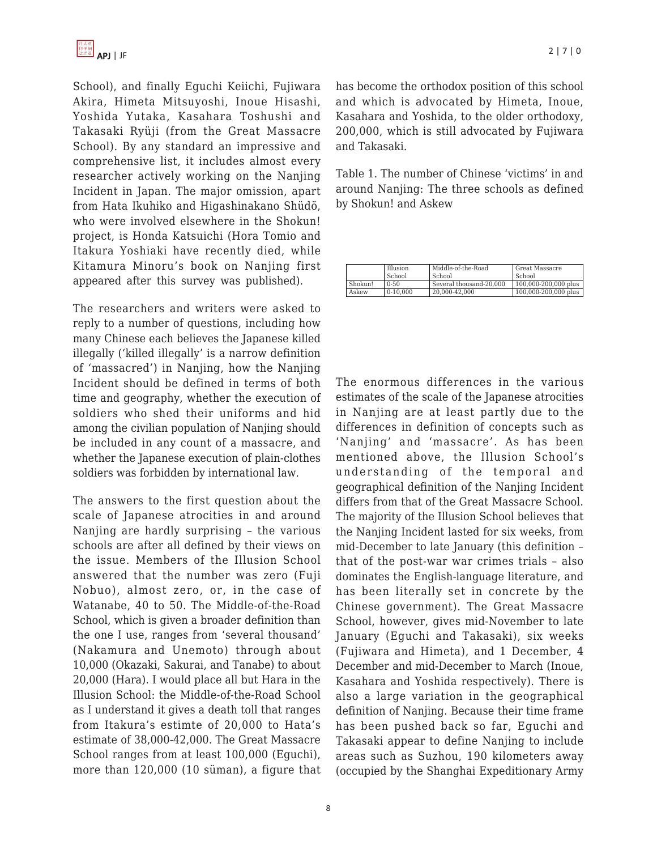School), and finally Eguchi Keiichi, Fujiwara Akira, Himeta Mitsuyoshi, Inoue Hisashi, Yoshida Yutaka, Kasahara Toshushi and Takasaki Ryüji (from the Great Massacre School). By any standard an impressive and comprehensive list, it includes almost every researcher actively working on the Nanjing Incident in Japan. The major omission, apart from Hata Ikuhiko and Higashinakano Shüdö, who were involved elsewhere in the Shokun! project, is Honda Katsuichi (Hora Tomio and Itakura Yoshiaki have recently died, while Kitamura Minoru's book on Nanjing first appeared after this survey was published).

The researchers and writers were asked to reply to a number of questions, including how many Chinese each believes the Japanese killed illegally ('killed illegally' is a narrow definition of 'massacred') in Nanjing, how the Nanjing Incident should be defined in terms of both time and geography, whether the execution of soldiers who shed their uniforms and hid among the civilian population of Nanjing should be included in any count of a massacre, and whether the Japanese execution of plain-clothes soldiers was forbidden by international law.

The answers to the first question about the scale of Japanese atrocities in and around Nanjing are hardly surprising – the various schools are after all defined by their views on the issue. Members of the Illusion School answered that the number was zero (Fuji Nobuo), almost zero, or, in the case of Watanabe, 40 to 50. The Middle-of-the-Road School, which is given a broader definition than the one I use, ranges from 'several thousand' (Nakamura and Unemoto) through about 10,000 (Okazaki, Sakurai, and Tanabe) to about 20,000 (Hara). I would place all but Hara in the Illusion School: the Middle-of-the-Road School as I understand it gives a death toll that ranges from Itakura's estimte of 20,000 to Hata's estimate of 38,000-42,000. The Great Massacre School ranges from at least 100,000 (Eguchi), more than 120,000 (10 süman), a figure that has become the orthodox position of this school and which is advocated by Himeta, Inoue, Kasahara and Yoshida, to the older orthodoxy, 200,000, which is still advocated by Fujiwara and Takasaki.

Table 1. The number of Chinese 'victims' in and around Nanjing: The three schools as defined by Shokun! and Askew

|         | Illusion<br>School | Middle-of-the-Road<br>School | Great Massacre<br>School |
|---------|--------------------|------------------------------|--------------------------|
| Shokun! | $0 - 50$           | Several thousand-20.000      | 100,000-200,000 plus     |
| Askew   | $0-10.000$         | 20.000-42.000                | 100,000-200,000 plus     |

The enormous differences in the various estimates of the scale of the Japanese atrocities in Nanjing are at least partly due to the differences in definition of concepts such as 'Nanjing' and 'massacre'. As has been mentioned above, the Illusion School's understanding of the temporal and geographical definition of the Nanjing Incident differs from that of the Great Massacre School. The majority of the Illusion School believes that the Nanjing Incident lasted for six weeks, from mid-December to late January (this definition – that of the post-war war crimes trials – also dominates the English-language literature, and has been literally set in concrete by the Chinese government). The Great Massacre School, however, gives mid-November to late January (Eguchi and Takasaki), six weeks (Fujiwara and Himeta), and 1 December, 4 December and mid-December to March (Inoue, Kasahara and Yoshida respectively). There is also a large variation in the geographical definition of Nanjing. Because their time frame has been pushed back so far, Eguchi and Takasaki appear to define Nanjing to include areas such as Suzhou, 190 kilometers away (occupied by the Shanghai Expeditionary Army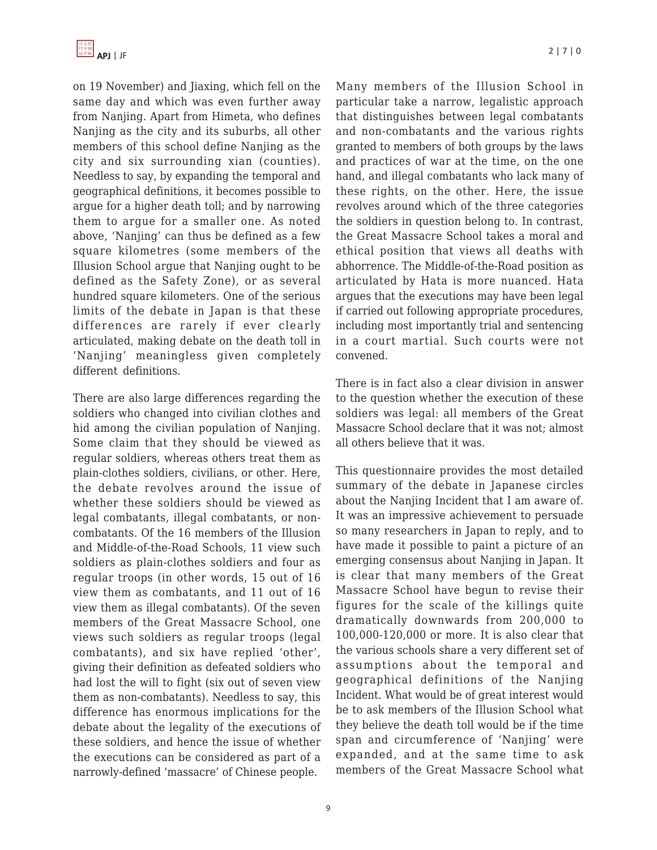on 19 November) and Jiaxing, which fell on the same day and which was even further away from Nanjing. Apart from Himeta, who defines Nanjing as the city and its suburbs, all other members of this school define Nanjing as the city and six surrounding xian (counties). Needless to say, by expanding the temporal and geographical definitions, it becomes possible to argue for a higher death toll; and by narrowing them to argue for a smaller one. As noted above, 'Nanjing' can thus be defined as a few square kilometres (some members of the Illusion School argue that Nanjing ought to be defined as the Safety Zone), or as several hundred square kilometers. One of the serious limits of the debate in Japan is that these differences are rarely if ever clearly articulated, making debate on the death toll in 'Nanjing' meaningless given completely different definitions.

There are also large differences regarding the soldiers who changed into civilian clothes and hid among the civilian population of Nanjing. Some claim that they should be viewed as regular soldiers, whereas others treat them as plain-clothes soldiers, civilians, or other. Here, the debate revolves around the issue of whether these soldiers should be viewed as legal combatants, illegal combatants, or noncombatants. Of the 16 members of the Illusion and Middle-of-the-Road Schools, 11 view such soldiers as plain-clothes soldiers and four as regular troops (in other words, 15 out of 16 view them as combatants, and 11 out of 16 view them as illegal combatants). Of the seven members of the Great Massacre School, one views such soldiers as regular troops (legal combatants), and six have replied 'other', giving their definition as defeated soldiers who had lost the will to fight (six out of seven view them as non-combatants). Needless to say, this difference has enormous implications for the debate about the legality of the executions of these soldiers, and hence the issue of whether the executions can be considered as part of a narrowly-defined 'massacre' of Chinese people.

9

Many members of the Illusion School in particular take a narrow, legalistic approach that distinguishes between legal combatants and non-combatants and the various rights granted to members of both groups by the laws and practices of war at the time, on the one hand, and illegal combatants who lack many of these rights, on the other. Here, the issue revolves around which of the three categories the soldiers in question belong to. In contrast, the Great Massacre School takes a moral and ethical position that views all deaths with abhorrence. The Middle-of-the-Road position as articulated by Hata is more nuanced. Hata argues that the executions may have been legal if carried out following appropriate procedures, including most importantly trial and sentencing in a court martial. Such courts were not convened.

There is in fact also a clear division in answer to the question whether the execution of these soldiers was legal: all members of the Great Massacre School declare that it was not; almost all others believe that it was.

This questionnaire provides the most detailed summary of the debate in Japanese circles about the Nanjing Incident that I am aware of. It was an impressive achievement to persuade so many researchers in Japan to reply, and to have made it possible to paint a picture of an emerging consensus about Nanjing in Japan. It is clear that many members of the Great Massacre School have begun to revise their figures for the scale of the killings quite dramatically downwards from 200,000 to 100,000-120,000 or more. It is also clear that the various schools share a very different set of assumptions about the temporal and geographical definitions of the Nanjing Incident. What would be of great interest would be to ask members of the Illusion School what they believe the death toll would be if the time span and circumference of 'Nanjing' were expanded, and at the same time to ask members of the Great Massacre School what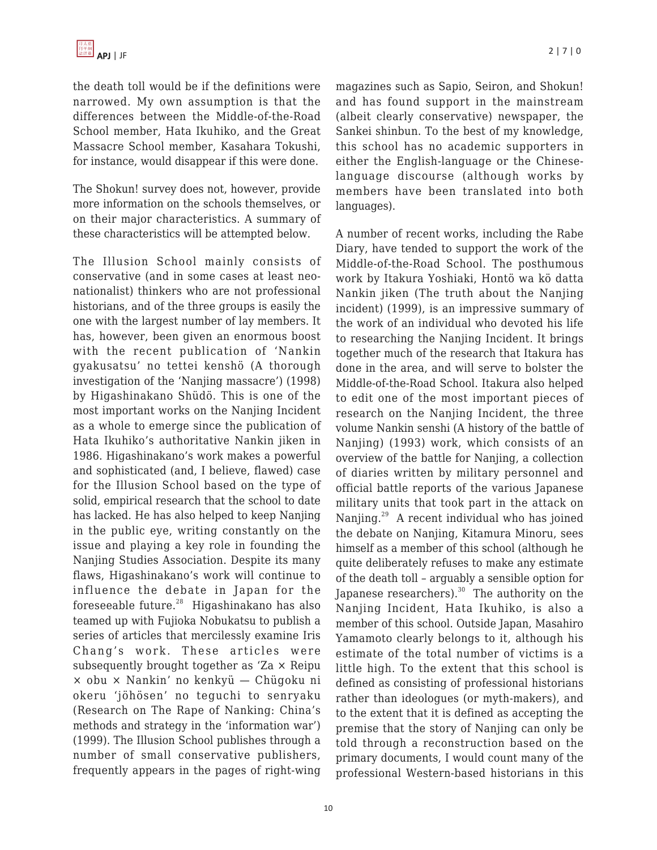the death toll would be if the definitions were narrowed. My own assumption is that the differences between the Middle-of-the-Road School member, Hata Ikuhiko, and the Great Massacre School member, Kasahara Tokushi, for instance, would disappear if this were done.

The Shokun! survey does not, however, provide more information on the schools themselves, or on their major characteristics. A summary of these characteristics will be attempted below.

The Illusion School mainly consists of conservative (and in some cases at least neonationalist) thinkers who are not professional historians, and of the three groups is easily the one with the largest number of lay members. It has, however, been given an enormous boost with the recent publication of 'Nankin gyakusatsu' no tettei kenshö (A thorough investigation of the 'Nanjing massacre') (1998) by Higashinakano Shüdö. This is one of the most important works on the Nanjing Incident as a whole to emerge since the publication of Hata Ikuhiko's authoritative Nankin jiken in 1986. Higashinakano's work makes a powerful and sophisticated (and, I believe, flawed) case for the Illusion School based on the type of solid, empirical research that the school to date has lacked. He has also helped to keep Nanjing in the public eye, writing constantly on the issue and playing a key role in founding the Nanjing Studies Association. Despite its many flaws, Higashinakano's work will continue to influence the debate in Japan for the foreseeable future. $28$  Higashinakano has also teamed up with Fujioka Nobukatsu to publish a series of articles that mercilessly examine Iris Chang's work. These articles were subsequently brought together as 'Za × Reipu × obu × Nankin' no kenkyü — Chügoku ni okeru 'jöhösen' no teguchi to senryaku (Research on The Rape of Nanking: China's methods and strategy in the 'information war') (1999). The Illusion School publishes through a number of small conservative publishers, frequently appears in the pages of right-wing

magazines such as Sapio, Seiron, and Shokun! and has found support in the mainstream (albeit clearly conservative) newspaper, the Sankei shinbun. To the best of my knowledge, this school has no academic supporters in either the English-language or the Chineselanguage discourse (although works by members have been translated into both languages).

A number of recent works, including the Rabe Diary, have tended to support the work of the Middle-of-the-Road School. The posthumous work by Itakura Yoshiaki, Hontö wa kö datta Nankin jiken (The truth about the Nanjing incident) (1999), is an impressive summary of the work of an individual who devoted his life to researching the Nanjing Incident. It brings together much of the research that Itakura has done in the area, and will serve to bolster the Middle-of-the-Road School. Itakura also helped to edit one of the most important pieces of research on the Nanjing Incident, the three volume Nankin senshi (A history of the battle of Nanjing) (1993) work, which consists of an overview of the battle for Nanjing, a collection of diaries written by military personnel and official battle reports of the various Japanese military units that took part in the attack on Nanjing.<sup>29</sup> A recent individual who has joined the debate on Nanjing, Kitamura Minoru, sees himself as a member of this school (although he quite deliberately refuses to make any estimate of the death toll – arguably a sensible option for Japanese researchers).<sup>30</sup> The authority on the Nanjing Incident, Hata Ikuhiko, is also a member of this school. Outside Japan, Masahiro Yamamoto clearly belongs to it, although his estimate of the total number of victims is a little high. To the extent that this school is defined as consisting of professional historians rather than ideologues (or myth-makers), and to the extent that it is defined as accepting the premise that the story of Nanjing can only be told through a reconstruction based on the primary documents, I would count many of the professional Western-based historians in this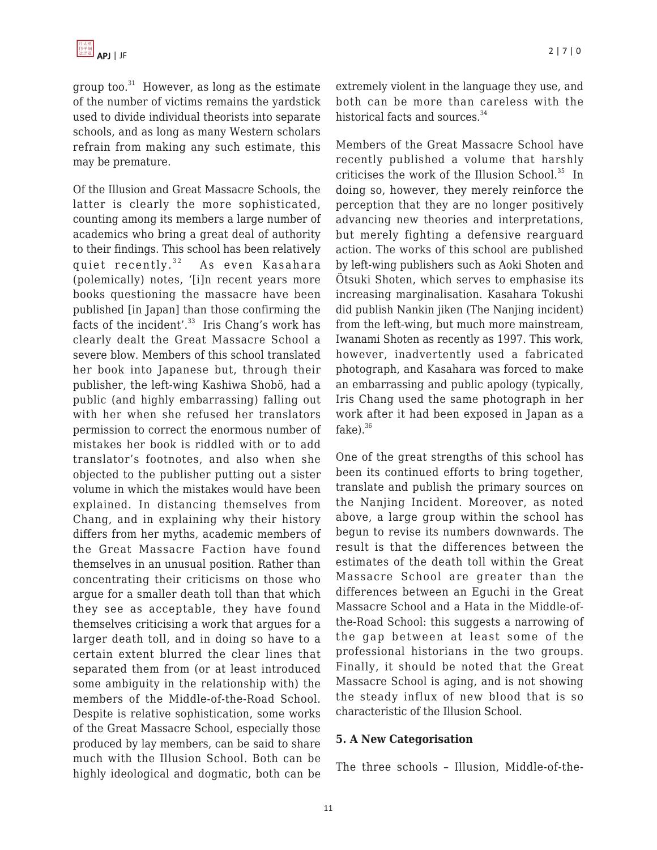group too. $31$  However, as long as the estimate of the number of victims remains the yardstick used to divide individual theorists into separate schools, and as long as many Western scholars refrain from making any such estimate, this may be premature.

Of the Illusion and Great Massacre Schools, the latter is clearly the more sophisticated, counting among its members a large number of academics who bring a great deal of authority to their findings. This school has been relatively quiet recently. $32$  As even Kasahara (polemically) notes, '[i]n recent years more books questioning the massacre have been published [in Japan] than those confirming the facts of the incident'. $33$  Iris Chang's work has clearly dealt the Great Massacre School a severe blow. Members of this school translated her book into Japanese but, through their publisher, the left-wing Kashiwa Shobö, had a public (and highly embarrassing) falling out with her when she refused her translators permission to correct the enormous number of mistakes her book is riddled with or to add translator's footnotes, and also when she objected to the publisher putting out a sister volume in which the mistakes would have been explained. In distancing themselves from Chang, and in explaining why their history differs from her myths, academic members of the Great Massacre Faction have found themselves in an unusual position. Rather than concentrating their criticisms on those who argue for a smaller death toll than that which they see as acceptable, they have found themselves criticising a work that argues for a larger death toll, and in doing so have to a certain extent blurred the clear lines that separated them from (or at least introduced some ambiguity in the relationship with) the members of the Middle-of-the-Road School. Despite is relative sophistication, some works of the Great Massacre School, especially those produced by lay members, can be said to share much with the Illusion School. Both can be highly ideological and dogmatic, both can be extremely violent in the language they use, and both can be more than careless with the historical facts and sources.<sup>34</sup>

Members of the Great Massacre School have recently published a volume that harshly criticises the work of the Illusion School.<sup>35</sup> In doing so, however, they merely reinforce the perception that they are no longer positively advancing new theories and interpretations, but merely fighting a defensive rearguard action. The works of this school are published by left-wing publishers such as Aoki Shoten and Ötsuki Shoten, which serves to emphasise its increasing marginalisation. Kasahara Tokushi did publish Nankin jiken (The Nanjing incident) from the left-wing, but much more mainstream, Iwanami Shoten as recently as 1997. This work, however, inadvertently used a fabricated photograph, and Kasahara was forced to make an embarrassing and public apology (typically, Iris Chang used the same photograph in her work after it had been exposed in Japan as a fake $)$ .  $36$ 

One of the great strengths of this school has been its continued efforts to bring together, translate and publish the primary sources on the Nanjing Incident. Moreover, as noted above, a large group within the school has begun to revise its numbers downwards. The result is that the differences between the estimates of the death toll within the Great Massacre School are greater than the differences between an Eguchi in the Great Massacre School and a Hata in the Middle-ofthe-Road School: this suggests a narrowing of the gap between at least some of the professional historians in the two groups. Finally, it should be noted that the Great Massacre School is aging, and is not showing the steady influx of new blood that is so characteristic of the Illusion School.

# **5. A New Categorisation**

The three schools – Illusion, Middle-of-the-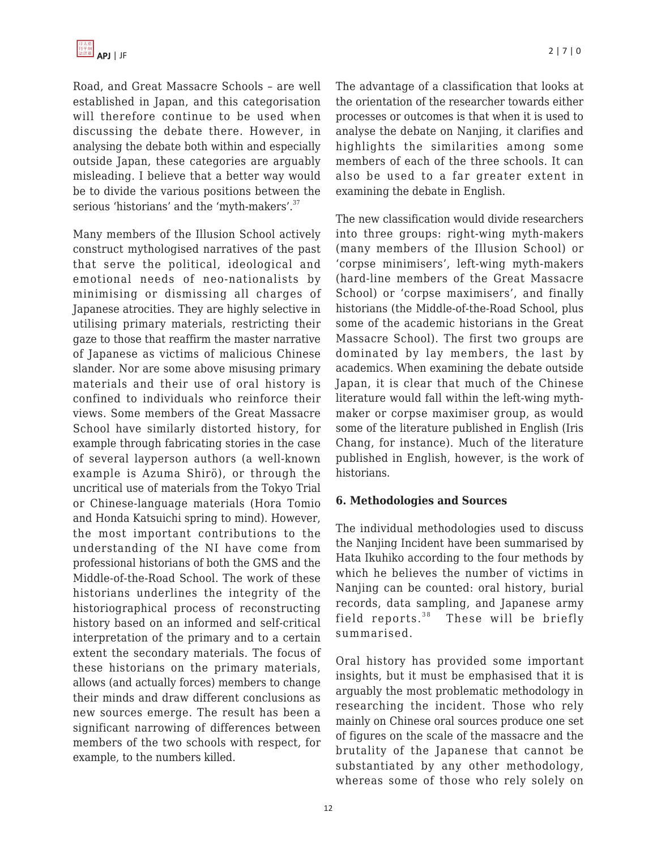Road, and Great Massacre Schools – are well established in Japan, and this categorisation will therefore continue to be used when discussing the debate there. However, in analysing the debate both within and especially outside Japan, these categories are arguably misleading. I believe that a better way would be to divide the various positions between the serious 'historians' and the 'myth-makers'.<sup>37</sup>

Many members of the Illusion School actively construct mythologised narratives of the past that serve the political, ideological and emotional needs of neo-nationalists by minimising or dismissing all charges of Japanese atrocities. They are highly selective in utilising primary materials, restricting their gaze to those that reaffirm the master narrative of Japanese as victims of malicious Chinese slander. Nor are some above misusing primary materials and their use of oral history is confined to individuals who reinforce their views. Some members of the Great Massacre School have similarly distorted history, for example through fabricating stories in the case of several layperson authors (a well-known example is Azuma Shirö), or through the uncritical use of materials from the Tokyo Trial or Chinese-language materials (Hora Tomio and Honda Katsuichi spring to mind). However, the most important contributions to the understanding of the NI have come from professional historians of both the GMS and the Middle-of-the-Road School. The work of these historians underlines the integrity of the historiographical process of reconstructing history based on an informed and self-critical interpretation of the primary and to a certain extent the secondary materials. The focus of these historians on the primary materials, allows (and actually forces) members to change their minds and draw different conclusions as new sources emerge. The result has been a significant narrowing of differences between members of the two schools with respect, for example, to the numbers killed.

The advantage of a classification that looks at the orientation of the researcher towards either processes or outcomes is that when it is used to analyse the debate on Nanjing, it clarifies and highlights the similarities among some members of each of the three schools. It can also be used to a far greater extent in examining the debate in English.

The new classification would divide researchers into three groups: right-wing myth-makers (many members of the Illusion School) or 'corpse minimisers', left-wing myth-makers (hard-line members of the Great Massacre School) or 'corpse maximisers', and finally historians (the Middle-of-the-Road School, plus some of the academic historians in the Great Massacre School). The first two groups are dominated by lay members, the last by academics. When examining the debate outside Japan, it is clear that much of the Chinese literature would fall within the left-wing mythmaker or corpse maximiser group, as would some of the literature published in English (Iris Chang, for instance). Much of the literature published in English, however, is the work of historians.

# **6. Methodologies and Sources**

The individual methodologies used to discuss the Nanjing Incident have been summarised by Hata Ikuhiko according to the four methods by which he believes the number of victims in Nanjing can be counted: oral history, burial records, data sampling, and Japanese army field reports. $38$  These will be briefly summarised.

Oral history has provided some important insights, but it must be emphasised that it is arguably the most problematic methodology in researching the incident. Those who rely mainly on Chinese oral sources produce one set of figures on the scale of the massacre and the brutality of the Japanese that cannot be substantiated by any other methodology, whereas some of those who rely solely on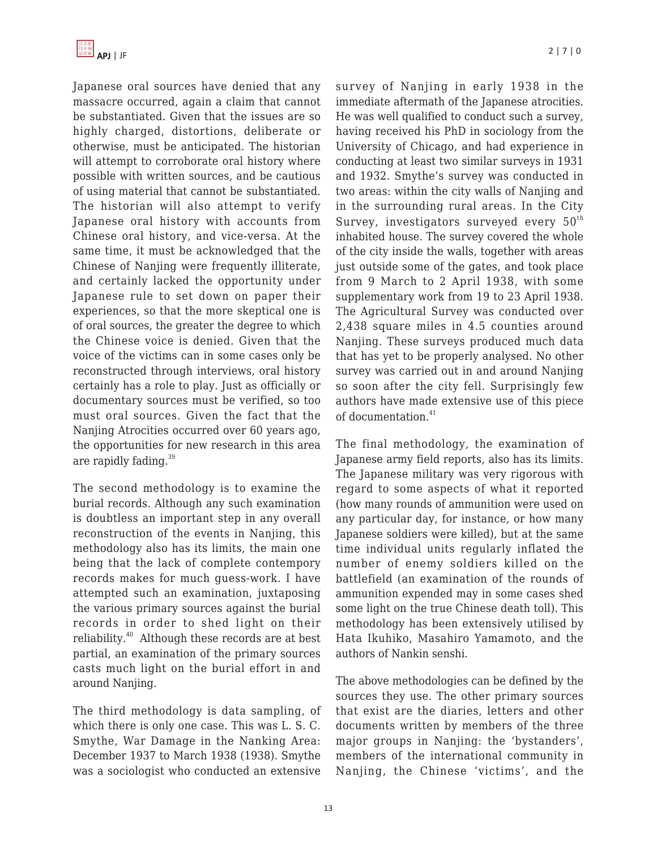Japanese oral sources have denied that any massacre occurred, again a claim that cannot be substantiated. Given that the issues are so highly charged, distortions, deliberate or otherwise, must be anticipated. The historian will attempt to corroborate oral history where possible with written sources, and be cautious of using material that cannot be substantiated. The historian will also attempt to verify Japanese oral history with accounts from Chinese oral history, and vice-versa. At the same time, it must be acknowledged that the Chinese of Nanjing were frequently illiterate, and certainly lacked the opportunity under Japanese rule to set down on paper their experiences, so that the more skeptical one is of oral sources, the greater the degree to which the Chinese voice is denied. Given that the voice of the victims can in some cases only be reconstructed through interviews, oral history certainly has a role to play. Just as officially or documentary sources must be verified, so too must oral sources. Given the fact that the Nanjing Atrocities occurred over 60 years ago, the opportunities for new research in this area are rapidly fading.<sup>39</sup>

The second methodology is to examine the burial records. Although any such examination is doubtless an important step in any overall reconstruction of the events in Nanjing, this methodology also has its limits, the main one being that the lack of complete contempory records makes for much guess-work. I have attempted such an examination, juxtaposing the various primary sources against the burial records in order to shed light on their reliability.<sup>40</sup> Although these records are at best partial, an examination of the primary sources casts much light on the burial effort in and around Nanjing.

The third methodology is data sampling, of which there is only one case. This was L. S. C. Smythe, War Damage in the Nanking Area: December 1937 to March 1938 (1938). Smythe was a sociologist who conducted an extensive survey of Nanjing in early 1938 in the immediate aftermath of the Japanese atrocities. He was well qualified to conduct such a survey, having received his PhD in sociology from the University of Chicago, and had experience in conducting at least two similar surveys in 1931 and 1932. Smythe's survey was conducted in two areas: within the city walls of Nanjing and in the surrounding rural areas. In the City Survey, investigators surveyed every  $50<sup>th</sup>$ inhabited house. The survey covered the whole of the city inside the walls, together with areas just outside some of the gates, and took place from 9 March to 2 April 1938, with some supplementary work from 19 to 23 April 1938. The Agricultural Survey was conducted over 2,438 square miles in 4.5 counties around Nanjing. These surveys produced much data that has yet to be properly analysed. No other survey was carried out in and around Nanjing so soon after the city fell. Surprisingly few authors have made extensive use of this piece of documentation.<sup>41</sup>

The final methodology, the examination of Japanese army field reports, also has its limits. The Japanese military was very rigorous with regard to some aspects of what it reported (how many rounds of ammunition were used on any particular day, for instance, or how many Japanese soldiers were killed), but at the same time individual units regularly inflated the number of enemy soldiers killed on the battlefield (an examination of the rounds of ammunition expended may in some cases shed some light on the true Chinese death toll). This methodology has been extensively utilised by Hata Ikuhiko, Masahiro Yamamoto, and the authors of Nankin senshi.

The above methodologies can be defined by the sources they use. The other primary sources that exist are the diaries, letters and other documents written by members of the three major groups in Nanjing: the 'bystanders', members of the international community in Nanjing, the Chinese 'victims', and the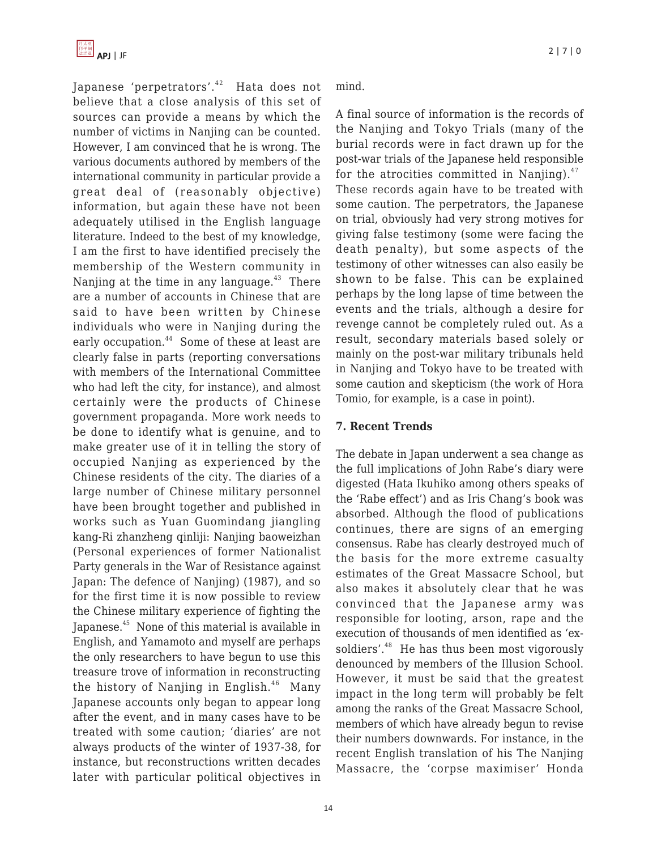Japanese 'perpetrators'.<sup>42</sup> Hata does not believe that a close analysis of this set of sources can provide a means by which the number of victims in Nanjing can be counted. However, I am convinced that he is wrong. The various documents authored by members of the international community in particular provide a great deal of (reasonably objective) information, but again these have not been adequately utilised in the English language literature. Indeed to the best of my knowledge, I am the first to have identified precisely the membership of the Western community in Nanjing at the time in any language. $43$  There are a number of accounts in Chinese that are said to have been written by Chinese individuals who were in Nanjing during the early occupation.<sup>44</sup> Some of these at least are clearly false in parts (reporting conversations with members of the International Committee who had left the city, for instance), and almost certainly were the products of Chinese government propaganda. More work needs to be done to identify what is genuine, and to make greater use of it in telling the story of occupied Nanjing as experienced by the Chinese residents of the city. The diaries of a large number of Chinese military personnel have been brought together and published in works such as Yuan Guomindang jiangling kang-Ri zhanzheng qinliji: Nanjing baoweizhan (Personal experiences of former Nationalist Party generals in the War of Resistance against Japan: The defence of Nanjing) (1987), and so for the first time it is now possible to review the Chinese military experience of fighting the Japanese.<sup>45</sup> None of this material is available in English, and Yamamoto and myself are perhaps the only researchers to have begun to use this treasure trove of information in reconstructing the history of Nanjing in English. $46$  Many Japanese accounts only began to appear long after the event, and in many cases have to be treated with some caution; 'diaries' are not always products of the winter of 1937-38, for instance, but reconstructions written decades later with particular political objectives in mind.

A final source of information is the records of the Nanjing and Tokyo Trials (many of the burial records were in fact drawn up for the post-war trials of the Japanese held responsible for the atrocities committed in Nanjing). $47$ These records again have to be treated with some caution. The perpetrators, the Japanese on trial, obviously had very strong motives for giving false testimony (some were facing the death penalty), but some aspects of the testimony of other witnesses can also easily be shown to be false. This can be explained perhaps by the long lapse of time between the events and the trials, although a desire for revenge cannot be completely ruled out. As a result, secondary materials based solely or mainly on the post-war military tribunals held in Nanjing and Tokyo have to be treated with some caution and skepticism (the work of Hora Tomio, for example, is a case in point).

#### **7. Recent Trends**

The debate in Japan underwent a sea change as the full implications of John Rabe's diary were digested (Hata Ikuhiko among others speaks of the 'Rabe effect') and as Iris Chang's book was absorbed. Although the flood of publications continues, there are signs of an emerging consensus. Rabe has clearly destroyed much of the basis for the more extreme casualty estimates of the Great Massacre School, but also makes it absolutely clear that he was convinced that the Japanese army was responsible for looting, arson, rape and the execution of thousands of men identified as 'exsoldiers'.<sup>48</sup> He has thus been most vigorously denounced by members of the Illusion School. However, it must be said that the greatest impact in the long term will probably be felt among the ranks of the Great Massacre School, members of which have already begun to revise their numbers downwards. For instance, in the recent English translation of his The Nanjing Massacre, the 'corpse maximiser' Honda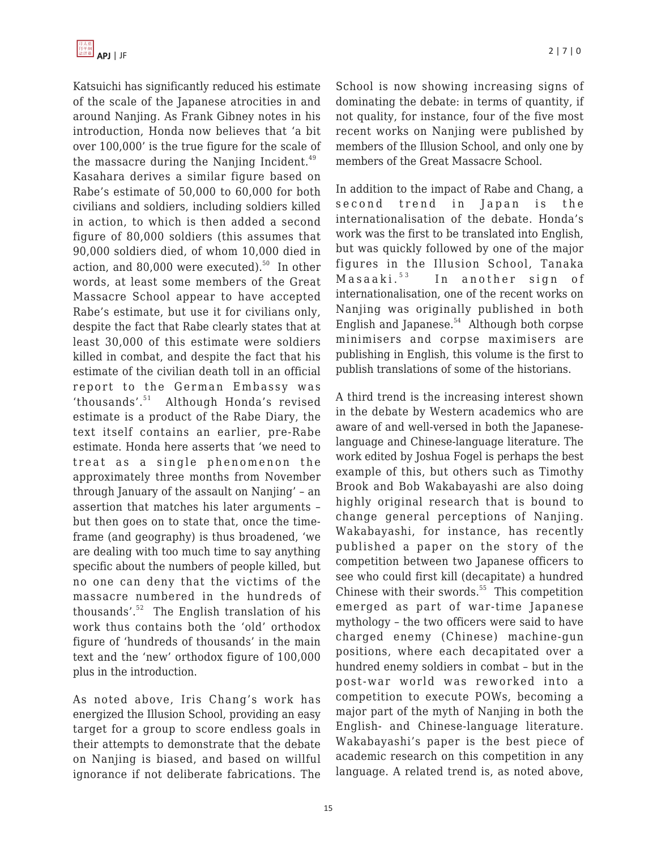Katsuichi has significantly reduced his estimate of the scale of the Japanese atrocities in and around Nanjing. As Frank Gibney notes in his introduction, Honda now believes that 'a bit over 100,000' is the true figure for the scale of the massacre during the Nanjing Incident. $49$ Kasahara derives a similar figure based on Rabe's estimate of 50,000 to 60,000 for both civilians and soldiers, including soldiers killed in action, to which is then added a second figure of 80,000 soldiers (this assumes that 90,000 soldiers died, of whom 10,000 died in action, and 80,000 were executed). $50$  In other words, at least some members of the Great Massacre School appear to have accepted Rabe's estimate, but use it for civilians only, despite the fact that Rabe clearly states that at least 30,000 of this estimate were soldiers killed in combat, and despite the fact that his estimate of the civilian death toll in an official report to the German Embassy was 'thousands'.<sup>51</sup> Although Honda's revised estimate is a product of the Rabe Diary, the text itself contains an earlier, pre-Rabe estimate. Honda here asserts that 'we need to treat as a single phenomenon the approximately three months from November through January of the assault on Nanjing' – an assertion that matches his later arguments – but then goes on to state that, once the timeframe (and geography) is thus broadened, 'we are dealing with too much time to say anything specific about the numbers of people killed, but no one can deny that the victims of the massacre numbered in the hundreds of thousands'. $52$  The English translation of his work thus contains both the 'old' orthodox figure of 'hundreds of thousands' in the main text and the 'new' orthodox figure of 100,000 plus in the introduction.

As noted above, Iris Chang's work has energized the Illusion School, providing an easy target for a group to score endless goals in their attempts to demonstrate that the debate on Nanjing is biased, and based on willful ignorance if not deliberate fabrications. The

School is now showing increasing signs of dominating the debate: in terms of quantity, if not quality, for instance, four of the five most recent works on Nanjing were published by members of the Illusion School, and only one by members of the Great Massacre School.

In addition to the impact of Rabe and Chang, a second trend in Japan is the internationalisation of the debate. Honda's work was the first to be translated into English, but was quickly followed by one of the major figures in the Illusion School, Tanaka Masaaki.<sup>53</sup> In another sign of internationalisation, one of the recent works on Nanjing was originally published in both English and Japanese.<sup>54</sup> Although both corpse minimisers and corpse maximisers are publishing in English, this volume is the first to publish translations of some of the historians.

A third trend is the increasing interest shown in the debate by Western academics who are aware of and well-versed in both the Japaneselanguage and Chinese-language literature. The work edited by Joshua Fogel is perhaps the best example of this, but others such as Timothy Brook and Bob Wakabayashi are also doing highly original research that is bound to change general perceptions of Nanjing. Wakabayashi, for instance, has recently published a paper on the story of the competition between two Japanese officers to see who could first kill (decapitate) a hundred Chinese with their swords. $55$  This competition emerged as part of war-time Japanese mythology – the two officers were said to have charged enemy (Chinese) machine-gun positions, where each decapitated over a hundred enemy soldiers in combat – but in the post-war world was reworked into a competition to execute POWs, becoming a major part of the myth of Nanjing in both the English- and Chinese-language literature. Wakabayashi's paper is the best piece of academic research on this competition in any language. A related trend is, as noted above,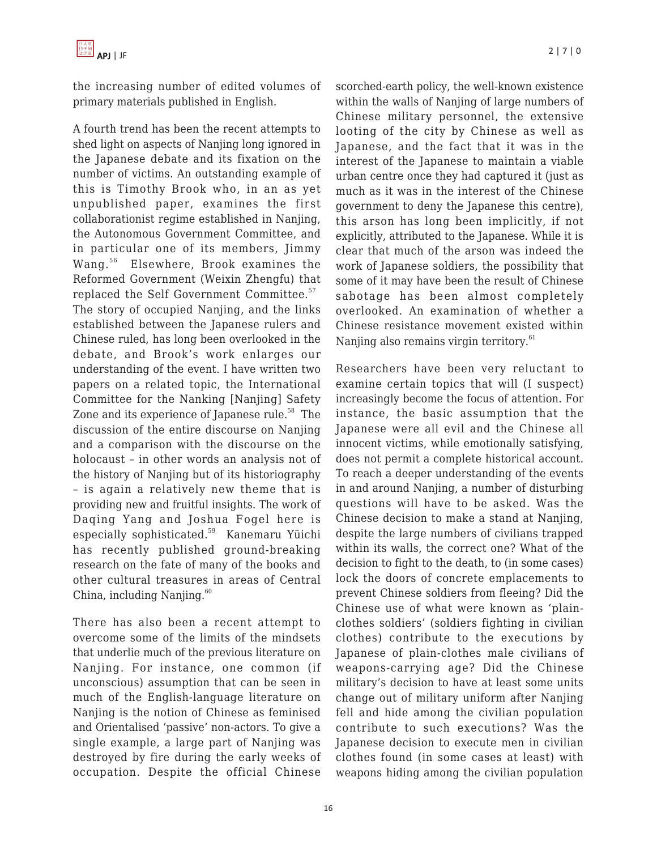the increasing number of edited volumes of primary materials published in English.

A fourth trend has been the recent attempts to shed light on aspects of Nanjing long ignored in the Japanese debate and its fixation on the number of victims. An outstanding example of this is Timothy Brook who, in an as yet unpublished paper, examines the first collaborationist regime established in Nanjing, the Autonomous Government Committee, and in particular one of its members, Jimmy Wang.<sup>56</sup> Elsewhere, Brook examines the Reformed Government (Weixin Zhengfu) that replaced the Self Government Committee.<sup>57</sup> The story of occupied Nanjing, and the links established between the Japanese rulers and Chinese ruled, has long been overlooked in the debate, and Brook's work enlarges our understanding of the event. I have written two papers on a related topic, the International Committee for the Nanking [Nanjing] Safety Zone and its experience of Japanese rule.<sup>58</sup> The discussion of the entire discourse on Nanjing and a comparison with the discourse on the holocaust – in other words an analysis not of the history of Nanjing but of its historiography – is again a relatively new theme that is providing new and fruitful insights. The work of Daqing Yang and Joshua Fogel here is especially sophisticated.<sup>59</sup> Kanemaru Yüichi has recently published ground-breaking research on the fate of many of the books and other cultural treasures in areas of Central China, including Nanjing. $60$ 

There has also been a recent attempt to overcome some of the limits of the mindsets that underlie much of the previous literature on Nanjing. For instance, one common (if unconscious) assumption that can be seen in much of the English-language literature on Nanjing is the notion of Chinese as feminised and Orientalised 'passive' non-actors. To give a single example, a large part of Nanjing was destroyed by fire during the early weeks of occupation. Despite the official Chinese scorched-earth policy, the well-known existence within the walls of Nanjing of large numbers of Chinese military personnel, the extensive looting of the city by Chinese as well as Japanese, and the fact that it was in the interest of the Japanese to maintain a viable urban centre once they had captured it (just as much as it was in the interest of the Chinese government to deny the Japanese this centre), this arson has long been implicitly, if not explicitly, attributed to the Japanese. While it is clear that much of the arson was indeed the work of Japanese soldiers, the possibility that some of it may have been the result of Chinese sabotage has been almost completely overlooked. An examination of whether a Chinese resistance movement existed within Nanjing also remains virgin territory.<sup>61</sup>

Researchers have been very reluctant to examine certain topics that will (I suspect) increasingly become the focus of attention. For instance, the basic assumption that the Japanese were all evil and the Chinese all innocent victims, while emotionally satisfying, does not permit a complete historical account. To reach a deeper understanding of the events in and around Nanjing, a number of disturbing questions will have to be asked. Was the Chinese decision to make a stand at Nanjing, despite the large numbers of civilians trapped within its walls, the correct one? What of the decision to fight to the death, to (in some cases) lock the doors of concrete emplacements to prevent Chinese soldiers from fleeing? Did the Chinese use of what were known as 'plainclothes soldiers' (soldiers fighting in civilian clothes) contribute to the executions by Japanese of plain-clothes male civilians of weapons-carrying age? Did the Chinese military's decision to have at least some units change out of military uniform after Nanjing fell and hide among the civilian population contribute to such executions? Was the Japanese decision to execute men in civilian clothes found (in some cases at least) with weapons hiding among the civilian population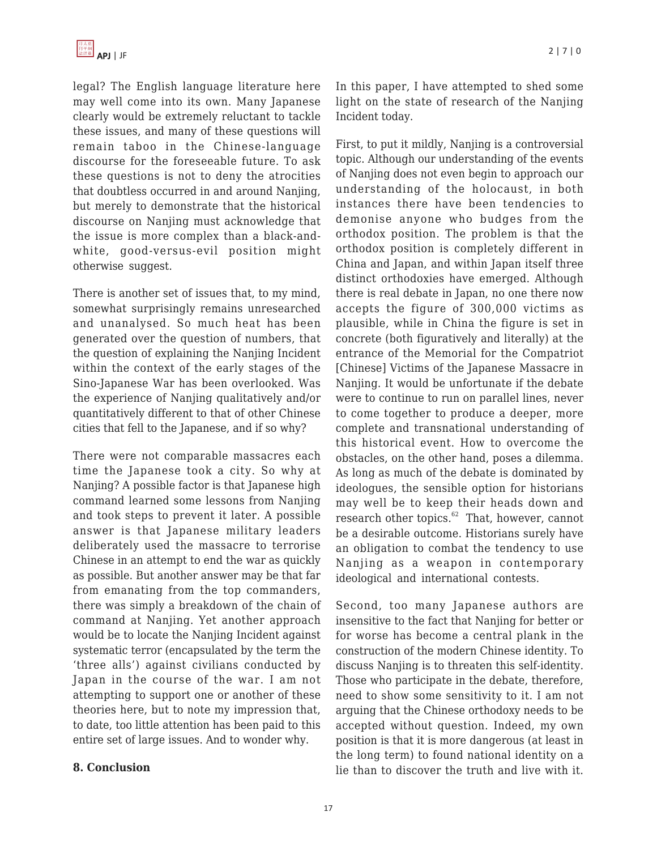legal? The English language literature here may well come into its own. Many Japanese clearly would be extremely reluctant to tackle these issues, and many of these questions will remain taboo in the Chinese-language discourse for the foreseeable future. To ask these questions is not to deny the atrocities that doubtless occurred in and around Nanjing, but merely to demonstrate that the historical discourse on Nanjing must acknowledge that the issue is more complex than a black-andwhite, good-versus-evil position might otherwise suggest.

There is another set of issues that, to my mind, somewhat surprisingly remains unresearched and unanalysed. So much heat has been generated over the question of numbers, that the question of explaining the Nanjing Incident within the context of the early stages of the Sino-Japanese War has been overlooked. Was the experience of Nanjing qualitatively and/or quantitatively different to that of other Chinese cities that fell to the Japanese, and if so why?

There were not comparable massacres each time the Japanese took a city. So why at Nanjing? A possible factor is that Japanese high command learned some lessons from Nanjing and took steps to prevent it later. A possible answer is that Japanese military leaders deliberately used the massacre to terrorise Chinese in an attempt to end the war as quickly as possible. But another answer may be that far from emanating from the top commanders, there was simply a breakdown of the chain of command at Nanjing. Yet another approach would be to locate the Nanjing Incident against systematic terror (encapsulated by the term the 'three alls') against civilians conducted by Japan in the course of the war. I am not attempting to support one or another of these theories here, but to note my impression that, to date, too little attention has been paid to this entire set of large issues. And to wonder why.

# **8. Conclusion**

In this paper, I have attempted to shed some light on the state of research of the Nanjing Incident today.

First, to put it mildly, Nanjing is a controversial topic. Although our understanding of the events of Nanjing does not even begin to approach our understanding of the holocaust, in both instances there have been tendencies to demonise anyone who budges from the orthodox position. The problem is that the orthodox position is completely different in China and Japan, and within Japan itself three distinct orthodoxies have emerged. Although there is real debate in Japan, no one there now accepts the figure of 300,000 victims as plausible, while in China the figure is set in concrete (both figuratively and literally) at the entrance of the Memorial for the Compatriot [Chinese] Victims of the Japanese Massacre in Nanjing. It would be unfortunate if the debate were to continue to run on parallel lines, never to come together to produce a deeper, more complete and transnational understanding of this historical event. How to overcome the obstacles, on the other hand, poses a dilemma. As long as much of the debate is dominated by ideologues, the sensible option for historians may well be to keep their heads down and research other topics. $62$  That, however, cannot be a desirable outcome. Historians surely have an obligation to combat the tendency to use Nanjing as a weapon in contemporary ideological and international contests.

Second, too many Japanese authors are insensitive to the fact that Nanjing for better or for worse has become a central plank in the construction of the modern Chinese identity. To discuss Nanjing is to threaten this self-identity. Those who participate in the debate, therefore, need to show some sensitivity to it. I am not arguing that the Chinese orthodoxy needs to be accepted without question. Indeed, my own position is that it is more dangerous (at least in the long term) to found national identity on a lie than to discover the truth and live with it.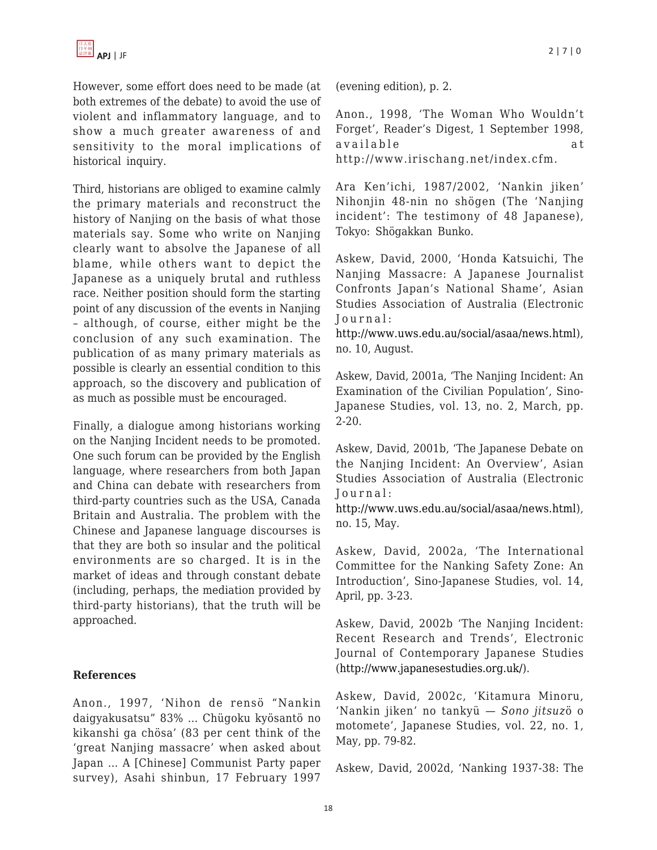However, some effort does need to be made (at both extremes of the debate) to avoid the use of violent and inflammatory language, and to show a much greater awareness of and sensitivity to the moral implications of historical inquiry.

Third, historians are obliged to examine calmly the primary materials and reconstruct the history of Nanjing on the basis of what those materials say. Some who write on Nanjing clearly want to absolve the Japanese of all blame, while others want to depict the Japanese as a uniquely brutal and ruthless race. Neither position should form the starting point of any discussion of the events in Nanjing – although, of course, either might be the conclusion of any such examination. The publication of as many primary materials as possible is clearly an essential condition to this approach, so the discovery and publication of as much as possible must be encouraged.

Finally, a dialogue among historians working on the Nanjing Incident needs to be promoted. One such forum can be provided by the English language, where researchers from both Japan and China can debate with researchers from third-party countries such as the USA, Canada Britain and Australia. The problem with the Chinese and Japanese language discourses is that they are both so insular and the political environments are so charged. It is in the market of ideas and through constant debate (including, perhaps, the mediation provided by third-party historians), that the truth will be approached.

# **References**

Anon., 1997, 'Nihon de rensö "Nankin daigyakusatsu" 83% … Chügoku kyösantö no kikanshi ga chösa' (83 per cent think of the 'great Nanjing massacre' when asked about Japan … A [Chinese] Communist Party paper survey), Asahi shinbun, 17 February 1997 (evening edition), p. 2.

Anon., 1998, 'The Woman Who Wouldn't Forget', Reader's Digest, 1 September 1998, available at http://www.irischang.net/index.cfm.

Ara Ken'ichi, 1987/2002, 'Nankin jiken' Nihonjin 48-nin no shögen (The 'Nanjing incident': The testimony of 48 Japanese), Tokyo: Shögakkan Bunko.

Askew, David, 2000, 'Honda Katsuichi, The Nanjing Massacre: A Japanese Journalist Confronts Japan's National Shame', Asian Studies Association of Australia (Electronic Journal:

<http://www.uws.edu.au/social/asaa/news.html>), no. 10, August.

Askew, David, 2001a, 'The Nanjing Incident: An Examination of the Civilian Population', Sino-Japanese Studies, vol. 13, no. 2, March, pp. 2-20.

Askew, David, 2001b, 'The Japanese Debate on the Nanjing Incident: An Overview', Asian Studies Association of Australia (Electronic Journal:

<http://www.uws.edu.au/social/asaa/news.html>), no. 15, May.

Askew, David, 2002a, 'The International Committee for the Nanking Safety Zone: An Introduction', Sino-Japanese Studies, vol. 14, April, pp. 3-23.

Askew, David, 2002b 'The Nanjing Incident: Recent Research and Trends', Electronic Journal of Contemporary Japanese Studies (<http://www.japanesestudies.org.uk/>).

Askew, David, 2002c, 'Kitamura Minoru, 'Nankin jiken' no tankyü — *Sono jitsuz*ö o motomete', Japanese Studies, vol. 22, no. 1, May, pp. 79-82.

Askew, David, 2002d, 'Nanking 1937-38: The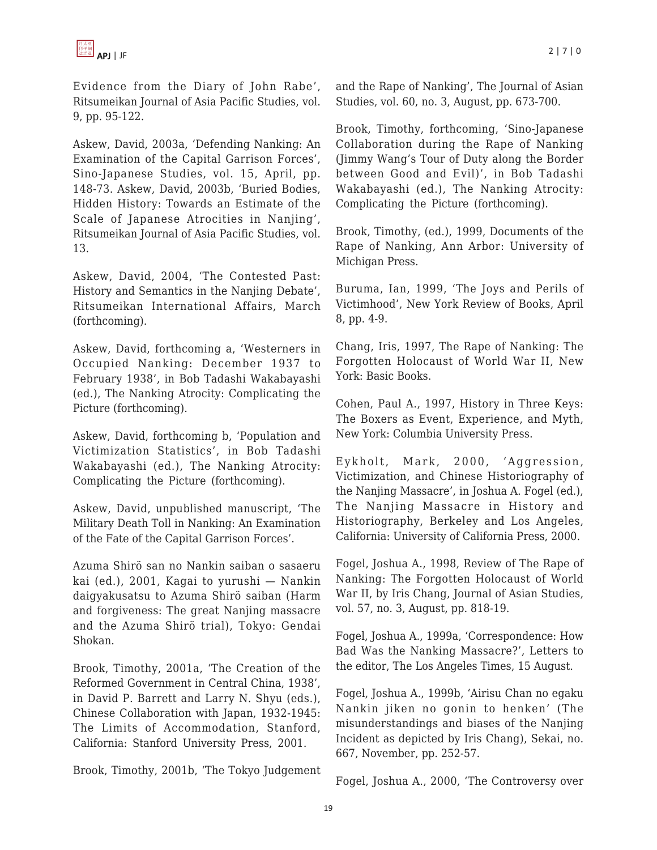

Evidence from the Diary of John Rabe', Ritsumeikan Journal of Asia Pacific Studies, vol. 9, pp. 95-122.

Askew, David, 2003a, 'Defending Nanking: An Examination of the Capital Garrison Forces', Sino-Japanese Studies, vol. 15, April, pp. 148-73. Askew, David, 2003b, 'Buried Bodies, Hidden History: Towards an Estimate of the Scale of Japanese Atrocities in Nanjing', Ritsumeikan Journal of Asia Pacific Studies, vol. 13.

Askew, David, 2004, 'The Contested Past: History and Semantics in the Nanjing Debate', Ritsumeikan International Affairs, March (forthcoming).

Askew, David, forthcoming a, 'Westerners in Occupied Nanking: December 1937 to February 1938', in Bob Tadashi Wakabayashi (ed.), The Nanking Atrocity: Complicating the Picture (forthcoming).

Askew, David, forthcoming b, 'Population and Victimization Statistics', in Bob Tadashi Wakabayashi (ed.), The Nanking Atrocity: Complicating the Picture (forthcoming).

Askew, David, unpublished manuscript, 'The Military Death Toll in Nanking: An Examination of the Fate of the Capital Garrison Forces'.

Azuma Shirö san no Nankin saiban o sasaeru kai (ed.), 2001, Kagai to yurushi — Nankin daigyakusatsu to Azuma Shirö saiban (Harm and forgiveness: The great Nanjing massacre and the Azuma Shirö trial), Tokyo: Gendai Shokan.

Brook, Timothy, 2001a, 'The Creation of the Reformed Government in Central China, 1938', in David P. Barrett and Larry N. Shyu (eds.), Chinese Collaboration with Japan, 1932-1945: The Limits of Accommodation, Stanford, California: Stanford University Press, 2001.

Brook, Timothy, 2001b, 'The Tokyo Judgement

and the Rape of Nanking', The Journal of Asian Studies, vol. 60, no. 3, August, pp. 673-700.

Brook, Timothy, forthcoming, 'Sino-Japanese Collaboration during the Rape of Nanking (Jimmy Wang's Tour of Duty along the Border between Good and Evil)', in Bob Tadashi Wakabayashi (ed.), The Nanking Atrocity: Complicating the Picture (forthcoming).

Brook, Timothy, (ed.), 1999, Documents of the Rape of Nanking, Ann Arbor: University of Michigan Press.

Buruma, Ian, 1999, 'The Joys and Perils of Victimhood', New York Review of Books, April 8, pp. 4-9.

Chang, Iris, 1997, The Rape of Nanking: The Forgotten Holocaust of World War II, New York: Basic Books.

Cohen, Paul A., 1997, History in Three Keys: The Boxers as Event, Experience, and Myth, New York: Columbia University Press.

Eykholt, Mark, 2000, 'Aggression, Victimization, and Chinese Historiography of the Nanjing Massacre', in Joshua A. Fogel (ed.), The Nanjing Massacre in History and Historiography, Berkeley and Los Angeles, California: University of California Press, 2000.

Fogel, Joshua A., 1998, Review of The Rape of Nanking: The Forgotten Holocaust of World War II, by Iris Chang, Journal of Asian Studies, vol. 57, no. 3, August, pp. 818-19.

Fogel, Joshua A., 1999a, 'Correspondence: How Bad Was the Nanking Massacre?', Letters to the editor, The Los Angeles Times, 15 August.

Fogel, Joshua A., 1999b, 'Airisu Chan no egaku Nankin jiken no gonin to henken' (The misunderstandings and biases of the Nanjing Incident as depicted by Iris Chang), Sekai, no. 667, November, pp. 252-57.

Fogel, Joshua A., 2000, 'The Controversy over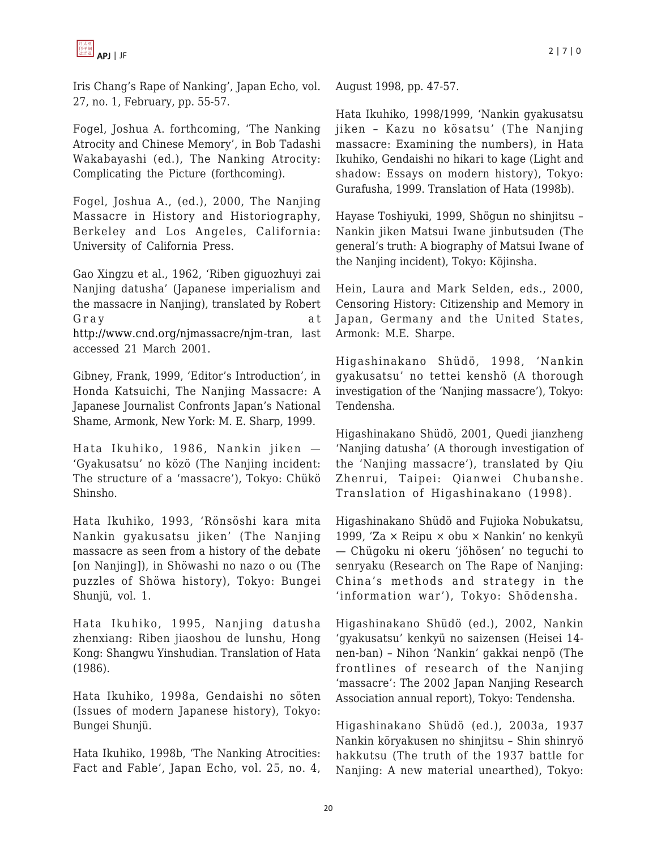

Iris Chang's Rape of Nanking', Japan Echo, vol. 27, no. 1, February, pp. 55-57.

Fogel, Joshua A. forthcoming, 'The Nanking Atrocity and Chinese Memory', in Bob Tadashi Wakabayashi (ed.), The Nanking Atrocity: Complicating the Picture (forthcoming).

Fogel, Joshua A., (ed.), 2000, The Nanjing Massacre in History and Historiography, Berkeley and Los Angeles, California: University of California Press.

Gao Xingzu et al., 1962, 'Riben giguozhuyi zai Nanjing datusha' (Japanese imperialism and the massacre in Nanjing), translated by Robert Gray at [http://www.cnd.org/njmassacre/njm-tran,](http://www.cnd.org/njmassacre/njm-tran) last accessed 21 March 2001.

Gibney, Frank, 1999, 'Editor's Introduction', in Honda Katsuichi, The Nanjing Massacre: A Japanese Journalist Confronts Japan's National Shame, Armonk, New York: M. E. Sharp, 1999.

Hata Ikuhiko, 1986, Nankin jiken — 'Gyakusatsu' no közö (The Nanjing incident: The structure of a 'massacre'), Tokyo: Chükö Shinsho.

Hata Ikuhiko, 1993, 'Rönsöshi kara mita Nankin gyakusatsu jiken' (The Nanjing massacre as seen from a history of the debate [on Nanjing]), in Shöwashi no nazo o ou (The puzzles of Shöwa history), Tokyo: Bungei Shunjü, vol. 1.

Hata Ikuhiko, 1995, Nanjing datusha zhenxiang: Riben jiaoshou de lunshu, Hong Kong: Shangwu Yinshudian. Translation of Hata (1986).

Hata Ikuhiko, 1998a, Gendaishi no söten (Issues of modern Japanese history), Tokyo: Bungei Shunjü.

Hata Ikuhiko, 1998b, 'The Nanking Atrocities: Fact and Fable', Japan Echo, vol. 25, no. 4, August 1998, pp. 47-57.

Hata Ikuhiko, 1998/1999, 'Nankin gyakusatsu jiken – Kazu no kösatsu' (The Nanjing massacre: Examining the numbers), in Hata Ikuhiko, Gendaishi no hikari to kage (Light and shadow: Essays on modern history), Tokyo: Gurafusha, 1999. Translation of Hata (1998b).

Hayase Toshiyuki, 1999, Shögun no shinjitsu – Nankin jiken Matsui Iwane jinbutsuden (The general's truth: A biography of Matsui Iwane of the Nanjing incident), Tokyo: Köjinsha.

Hein, Laura and Mark Selden, eds., 2000, Censoring History: Citizenship and Memory in Japan, Germany and the United States, Armonk: M.E. Sharpe.

Higashinakano Shüdö, 1998, 'Nankin gyakusatsu' no tettei kenshö (A thorough investigation of the 'Nanjing massacre'), Tokyo: Tendensha.

Higashinakano Shüdö, 2001, Quedi jianzheng 'Nanjing datusha' (A thorough investigation of the 'Nanjing massacre'), translated by Qiu Zhenrui, Taipei: Qianwei Chubanshe. Translation of Higashinakano (1998).

Higashinakano Shüdö and Fujioka Nobukatsu, 1999, 'Za × Reipu × obu × Nankin' no kenkyü — Chügoku ni okeru 'jöhösen' no teguchi to senryaku (Research on The Rape of Nanjing: China's methods and strategy in the 'information war'), Tokyo: Shödensha.

Higashinakano Shüdö (ed.), 2002, Nankin 'gyakusatsu' kenkyü no saizensen (Heisei 14 nen-ban) – Nihon 'Nankin' gakkai nenpö (The frontlines of research of the Nanjing 'massacre': The 2002 Japan Nanjing Research Association annual report), Tokyo: Tendensha.

Higashinakano Shüdö (ed.), 2003a, 1937 Nankin köryakusen no shinjitsu – Shin shinryö hakkutsu (The truth of the 1937 battle for Nanjing: A new material unearthed), Tokyo: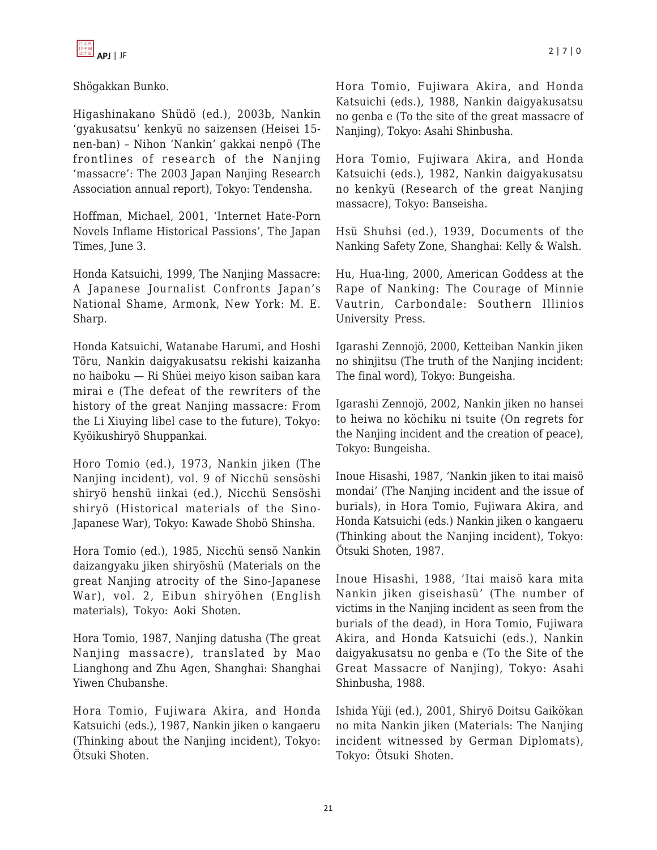

Shögakkan Bunko.

Higashinakano Shüdö (ed.), 2003b, Nankin 'gyakusatsu' kenkyü no saizensen (Heisei 15 nen-ban) – Nihon 'Nankin' gakkai nenpö (The frontlines of research of the Nanjing 'massacre': The 2003 Japan Nanjing Research Association annual report), Tokyo: Tendensha.

Hoffman, Michael, 2001, 'Internet Hate-Porn Novels Inflame Historical Passions', The Japan Times, June 3.

Honda Katsuichi, 1999, The Nanjing Massacre: A Japanese Journalist Confronts Japan's National Shame, Armonk, New York: M. E. Sharp.

Honda Katsuichi, Watanabe Harumi, and Hoshi Töru, Nankin daigyakusatsu rekishi kaizanha no haiboku — Ri Shüei meiyo kison saiban kara mirai e (The defeat of the rewriters of the history of the great Nanjing massacre: From the Li Xiuying libel case to the future), Tokyo: Kyöikushiryö Shuppankai.

Horo Tomio (ed.), 1973, Nankin jiken (The Nanjing incident), vol. 9 of Nicchü sensöshi shiryö henshü iinkai (ed.), Nicchü Sensöshi shiryö (Historical materials of the Sino-Japanese War), Tokyo: Kawade Shobö Shinsha.

Hora Tomio (ed.), 1985, Nicchü sensö Nankin daizangyaku jiken shiryöshü (Materials on the great Nanjing atrocity of the Sino-Japanese War), vol. 2, Eibun shiryöhen (English materials), Tokyo: Aoki Shoten.

Hora Tomio, 1987, Nanjing datusha (The great Nanjing massacre), translated by Mao Lianghong and Zhu Agen, Shanghai: Shanghai Yiwen Chubanshe.

Hora Tomio, Fujiwara Akira, and Honda Katsuichi (eds.), 1987, Nankin jiken o kangaeru (Thinking about the Nanjing incident), Tokyo: Ötsuki Shoten.

Hora Tomio, Fujiwara Akira, and Honda Katsuichi (eds.), 1988, Nankin daigyakusatsu no genba e (To the site of the great massacre of Nanjing), Tokyo: Asahi Shinbusha.

Hora Tomio, Fujiwara Akira, and Honda Katsuichi (eds.), 1982, Nankin daigyakusatsu no kenkyü (Research of the great Nanjing massacre), Tokyo: Banseisha.

Hsü Shuhsi (ed.), 1939, Documents of the Nanking Safety Zone, Shanghai: Kelly & Walsh.

Hu, Hua-ling, 2000, American Goddess at the Rape of Nanking: The Courage of Minnie Vautrin, Carbondale: Southern Illinios University Press.

Igarashi Zennojö, 2000, Ketteiban Nankin jiken no shinjitsu (The truth of the Nanjing incident: The final word), Tokyo: Bungeisha.

Igarashi Zennojö, 2002, Nankin jiken no hansei to heiwa no köchiku ni tsuite (On regrets for the Nanjing incident and the creation of peace), Tokyo: Bungeisha.

Inoue Hisashi, 1987, 'Nankin jiken to itai maisö mondai' (The Nanjing incident and the issue of burials), in Hora Tomio, Fujiwara Akira, and Honda Katsuichi (eds.) Nankin jiken o kangaeru (Thinking about the Nanjing incident), Tokyo: Ötsuki Shoten, 1987.

Inoue Hisashi, 1988, 'Itai maisö kara mita Nankin jiken giseishasü' (The number of victims in the Nanjing incident as seen from the burials of the dead), in Hora Tomio, Fujiwara Akira, and Honda Katsuichi (eds.), Nankin daigyakusatsu no genba e (To the Site of the Great Massacre of Nanjing), Tokyo: Asahi Shinbusha, 1988.

Ishida Yüji (ed.), 2001, Shiryö Doitsu Gaikökan no mita Nankin jiken (Materials: The Nanjing incident witnessed by German Diplomats), Tokyo: Ötsuki Shoten.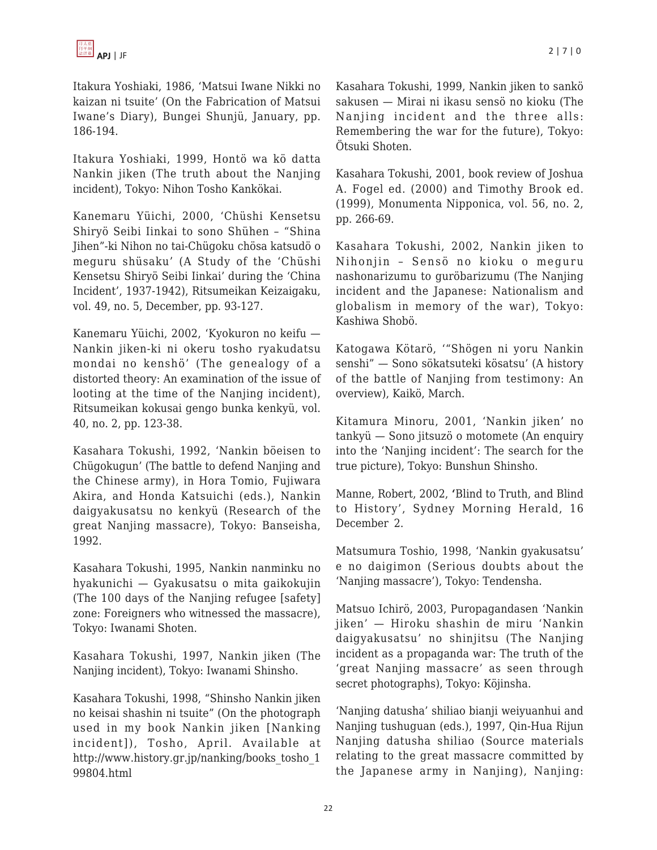Itakura Yoshiaki, 1986, 'Matsui Iwane Nikki no kaizan ni tsuite' (On the Fabrication of Matsui Iwane's Diary), Bungei Shunjü, January, pp. 186-194.

Itakura Yoshiaki, 1999, Hontö wa kö datta Nankin jiken (The truth about the Nanjing incident), Tokyo: Nihon Tosho Kankökai.

Kanemaru Yüichi, 2000, 'Chüshi Kensetsu Shiryö Seibi Iinkai to sono Shühen – "Shina Jihen"-ki Nihon no tai-Chügoku chösa katsudö o meguru shüsaku' (A Study of the 'Chüshi Kensetsu Shiryö Seibi Iinkai' during the 'China Incident', 1937-1942), Ritsumeikan Keizaigaku, vol. 49, no. 5, December, pp. 93-127.

Kanemaru Yüichi, 2002, 'Kyokuron no keifu — Nankin jiken-ki ni okeru tosho ryakudatsu mondai no kenshö' (The genealogy of a distorted theory: An examination of the issue of looting at the time of the Nanjing incident), Ritsumeikan kokusai gengo bunka kenkyü, vol. 40, no. 2, pp. 123-38.

Kasahara Tokushi, 1992, 'Nankin böeisen to Chügokugun' (The battle to defend Nanjing and the Chinese army), in Hora Tomio, Fujiwara Akira, and Honda Katsuichi (eds.), Nankin daigyakusatsu no kenkyü (Research of the great Nanjing massacre), Tokyo: Banseisha, 1992.

Kasahara Tokushi, 1995, Nankin nanminku no hyakunichi — Gyakusatsu o mita gaikokujin (The 100 days of the Nanjing refugee [safety] zone: Foreigners who witnessed the massacre), Tokyo: Iwanami Shoten.

Kasahara Tokushi, 1997, Nankin jiken (The Nanjing incident), Tokyo: Iwanami Shinsho.

Kasahara Tokushi, 1998, "Shinsho Nankin jiken no keisai shashin ni tsuite" (On the photograph used in my book Nankin jiken [Nanking incident]), Tosho, April. Available at http://www.history.gr.jp/nanking/books\_tosho\_1 99804.html

Kasahara Tokushi, 1999, Nankin jiken to sankö sakusen — Mirai ni ikasu sensö no kioku (The Nanjing incident and the three alls: Remembering the war for the future), Tokyo: Ötsuki Shoten.

Kasahara Tokushi, 2001, book review of Joshua A. Fogel ed. (2000) and Timothy Brook ed. (1999), Monumenta Nipponica, vol. 56, no. 2, pp. 266-69.

Kasahara Tokushi, 2002, Nankin jiken to Nihonjin – Sensö no kioku o meguru nashonarizumu to guröbarizumu (The Nanjing incident and the Japanese: Nationalism and globalism in memory of the war), Tokyo: Kashiwa Shobö.

Katogawa Kötarö, '"Shögen ni yoru Nankin senshi" — Sono sökatsuteki kösatsu' (A history of the battle of Nanjing from testimony: An overview), Kaikö, March.

Kitamura Minoru, 2001, 'Nankin jiken' no tankyü — Sono jitsuzö o motomete (An enquiry into the 'Nanjing incident': The search for the true picture), Tokyo: Bunshun Shinsho.

Manne, Robert, 2002, **'**Blind to Truth, and Blind to History', Sydney Morning Herald, 16 December 2.

Matsumura Toshio, 1998, 'Nankin gyakusatsu' e no daigimon (Serious doubts about the 'Nanjing massacre'), Tokyo: Tendensha.

Matsuo Ichirö, 2003, Puropagandasen 'Nankin jiken' — Hiroku shashin de miru 'Nankin daigyakusatsu' no shinjitsu (The Nanjing incident as a propaganda war: The truth of the 'great Nanjing massacre' as seen through secret photographs), Tokyo: Köjinsha.

'Nanjing datusha' shiliao bianji weiyuanhui and Nanjing tushuguan (eds.), 1997, Qin-Hua Rijun Nanjing datusha shiliao (Source materials relating to the great massacre committed by the Japanese army in Nanjing), Nanjing: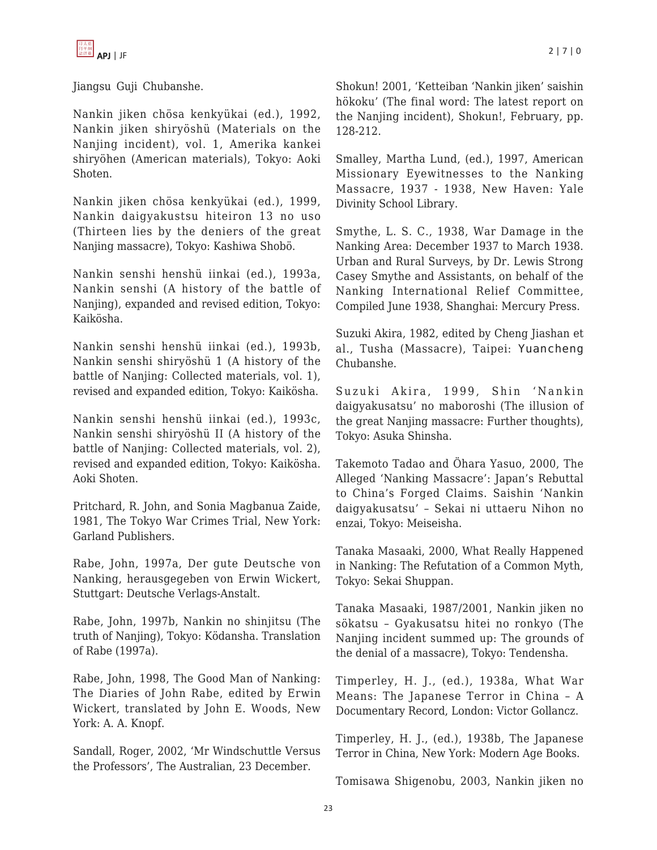Jiangsu Guji Chubanshe.

Nankin jiken chösa kenkyükai (ed.), 1992, Nankin jiken shiryöshü (Materials on the Nanjing incident), vol. 1, Amerika kankei shiryöhen (American materials), Tokyo: Aoki Shoten.

Nankin jiken chösa kenkyükai (ed.), 1999, Nankin daigyakustsu hiteiron 13 no uso (Thirteen lies by the deniers of the great Nanjing massacre), Tokyo: Kashiwa Shobö.

Nankin senshi henshü iinkai (ed.), 1993a, Nankin senshi (A history of the battle of Nanjing), expanded and revised edition, Tokyo: Kaikösha.

Nankin senshi henshü iinkai (ed.), 1993b, Nankin senshi shiryöshü 1 (A history of the battle of Nanjing: Collected materials, vol. 1), revised and expanded edition, Tokyo: Kaikösha.

Nankin senshi henshü iinkai (ed.), 1993c, Nankin senshi shiryöshü II (A history of the battle of Nanjing: Collected materials, vol. 2), revised and expanded edition, Tokyo: Kaikösha. Aoki Shoten.

Pritchard, R. John, and Sonia Magbanua Zaide, 1981, The Tokyo War Crimes Trial, New York: Garland Publishers.

Rabe, John, 1997a, Der gute Deutsche von Nanking, herausgegeben von Erwin Wickert, Stuttgart: Deutsche Verlags-Anstalt.

Rabe, John, 1997b, Nankin no shinjitsu (The truth of Nanjing), Tokyo: Ködansha. Translation of Rabe (1997a).

Rabe, John, 1998, The Good Man of Nanking: The Diaries of John Rabe, edited by Erwin Wickert, translated by John E. Woods, New York: A. A. Knopf.

Sandall, Roger, 2002, 'Mr Windschuttle Versus the Professors', The Australian, 23 December.

Shokun! 2001, 'Ketteiban 'Nankin jiken' saishin hökoku' (The final word: The latest report on the Nanjing incident), Shokun!, February, pp. 128-212.

Smalley, Martha Lund, (ed.), 1997, American Missionary Eyewitnesses to the Nanking Massacre, 1937 - 1938, New Haven: Yale Divinity School Library.

Smythe, L. S. C., 1938, War Damage in the Nanking Area: December 1937 to March 1938. Urban and Rural Surveys, by Dr. Lewis Strong Casey Smythe and Assistants, on behalf of the Nanking International Relief Committee, Compiled June 1938, Shanghai: Mercury Press.

Suzuki Akira, 1982, edited by Cheng Jiashan et al., Tusha (Massacre), Taipei: Yuancheng Chubanshe.

Suzuki Akira, 1999, Shin 'Nankin daigyakusatsu' no maboroshi (The illusion of the great Nanjing massacre: Further thoughts), Tokyo: Asuka Shinsha.

Takemoto Tadao and Öhara Yasuo, 2000, The Alleged 'Nanking Massacre': Japan's Rebuttal to China's Forged Claims. Saishin 'Nankin daigyakusatsu' – Sekai ni uttaeru Nihon no enzai, Tokyo: Meiseisha.

Tanaka Masaaki, 2000, What Really Happened in Nanking: The Refutation of a Common Myth, Tokyo: Sekai Shuppan.

Tanaka Masaaki, 1987/2001, Nankin jiken no sökatsu – Gyakusatsu hitei no ronkyo (The Nanjing incident summed up: The grounds of the denial of a massacre), Tokyo: Tendensha.

Timperley, H. J., (ed.), 1938a, What War Means: The Japanese Terror in China – A Documentary Record, London: Victor Gollancz.

Timperley, H. J., (ed.), 1938b, The Japanese Terror in China, New York: Modern Age Books.

Tomisawa Shigenobu, 2003, Nankin jiken no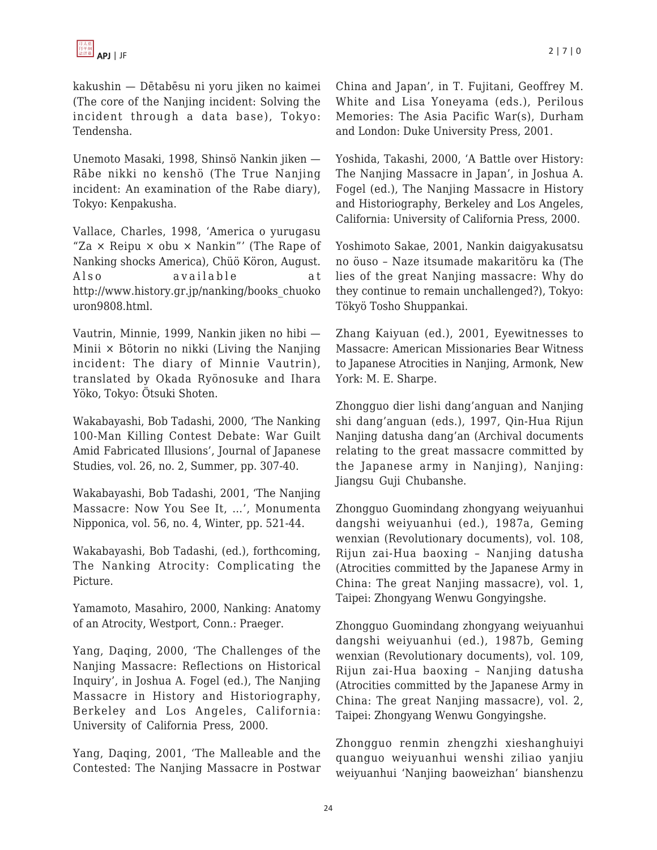kakushin — Dētabēsu ni yoru jiken no kaimei (The core of the Nanjing incident: Solving the incident through a data base), Tokyo: Tendensha.

Unemoto Masaki, 1998, Shinsö Nankin jiken — Rābe nikki no kenshö (The True Nanjing incident: An examination of the Rabe diary), Tokyo: Kenpakusha.

Vallace, Charles, 1998, 'America o yurugasu "Za  $\times$  Reipu  $\times$  obu  $\times$  Nankin"' (The Rape of Nanking shocks America), Chüö Köron, August. Also available at http://www.history.gr.jp/nanking/books\_chuoko uron9808.html.

Vautrin, Minnie, 1999, Nankin jiken no hibi — Minii × Bötorin no nikki (Living the Nanjing incident: The diary of Minnie Vautrin), translated by Okada Ryönosuke and Ihara Yöko, Tokyo: Ötsuki Shoten.

Wakabayashi, Bob Tadashi, 2000, 'The Nanking 100-Man Killing Contest Debate: War Guilt Amid Fabricated Illusions', Journal of Japanese Studies, vol. 26, no. 2, Summer, pp. 307-40.

Wakabayashi, Bob Tadashi, 2001, 'The Nanjing Massacre: Now You See It, …', Monumenta Nipponica, vol. 56, no. 4, Winter, pp. 521-44.

Wakabayashi, Bob Tadashi, (ed.), forthcoming, The Nanking Atrocity: Complicating the Picture.

Yamamoto, Masahiro, 2000, Nanking: Anatomy of an Atrocity, Westport, Conn.: Praeger.

Yang, Daqing, 2000, 'The Challenges of the Nanjing Massacre: Reflections on Historical Inquiry', in Joshua A. Fogel (ed.), The Nanjing Massacre in History and Historiography, Berkeley and Los Angeles, California: University of California Press, 2000.

Yang, Daqing, 2001, 'The Malleable and the Contested: The Nanjing Massacre in Postwar China and Japan', in T. Fujitani, Geoffrey M. White and Lisa Yoneyama (eds.), Perilous Memories: The Asia Pacific War(s), Durham and London: Duke University Press, 2001.

Yoshida, Takashi, 2000, 'A Battle over History: The Nanjing Massacre in Japan', in Joshua A. Fogel (ed.), The Nanjing Massacre in History and Historiography, Berkeley and Los Angeles, California: University of California Press, 2000.

Yoshimoto Sakae, 2001, Nankin daigyakusatsu no öuso – Naze itsumade makaritöru ka (The lies of the great Nanjing massacre: Why do they continue to remain unchallenged?), Tokyo: Tökyö Tosho Shuppankai.

Zhang Kaiyuan (ed.), 2001, Eyewitnesses to Massacre: American Missionaries Bear Witness to Japanese Atrocities in Nanjing, Armonk, New York: M. E. Sharpe.

Zhongguo dier lishi dang'anguan and Nanjing shi dang'anguan (eds.), 1997, Qin-Hua Rijun Nanjing datusha dang'an (Archival documents relating to the great massacre committed by the Japanese army in Nanjing), Nanjing: Jiangsu Guji Chubanshe.

Zhongguo Guomindang zhongyang weiyuanhui dangshi weiyuanhui (ed.), 1987a, Geming wenxian (Revolutionary documents), vol. 108, Rijun zai-Hua baoxing – Nanjing datusha (Atrocities committed by the Japanese Army in China: The great Nanjing massacre), vol. 1, Taipei: Zhongyang Wenwu Gongyingshe.

Zhongguo Guomindang zhongyang weiyuanhui dangshi weiyuanhui (ed.), 1987b, Geming wenxian (Revolutionary documents), vol. 109, Rijun zai-Hua baoxing – Nanjing datusha (Atrocities committed by the Japanese Army in China: The great Nanjing massacre), vol. 2, Taipei: Zhongyang Wenwu Gongyingshe.

Zhongguo renmin zhengzhi xieshanghuiyi quanguo weiyuanhui wenshi ziliao yanjiu weiyuanhui 'Nanjing baoweizhan' bianshenzu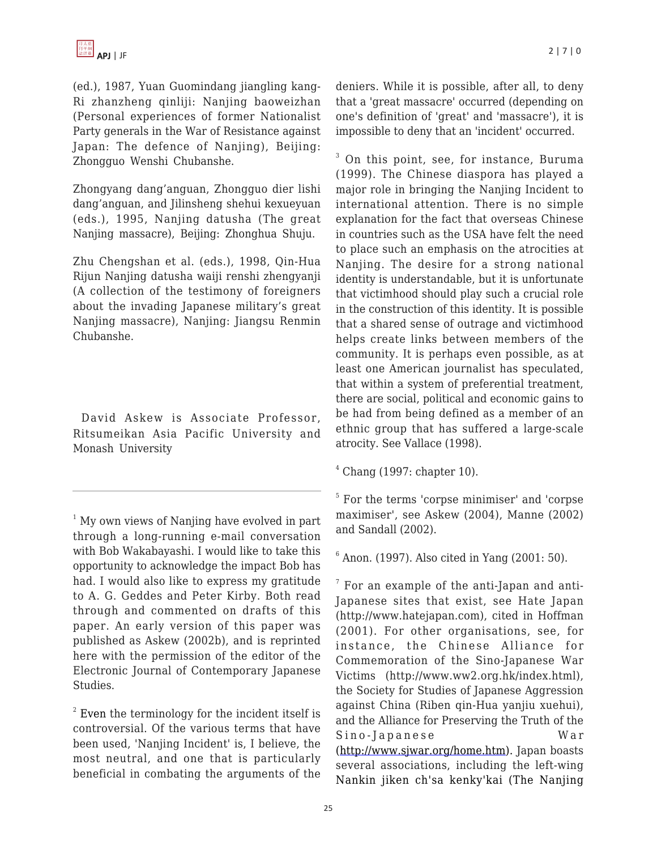(ed.), 1987, Yuan Guomindang jiangling kang-Ri zhanzheng qinliji: Nanjing baoweizhan (Personal experiences of former Nationalist Party generals in the War of Resistance against Japan: The defence of Nanjing), Beijing: Zhongguo Wenshi Chubanshe.

Zhongyang dang'anguan, Zhongguo dier lishi dang'anguan, and Jilinsheng shehui kexueyuan (eds.), 1995, Nanjing datusha (The great Nanjing massacre), Beijing: Zhonghua Shuju.

Zhu Chengshan et al. (eds.), 1998, Qin-Hua Rijun Nanjing datusha waiji renshi zhengyanji (A collection of the testimony of foreigners about the invading Japanese military's great Nanjing massacre), Nanjing: Jiangsu Renmin Chubanshe.

David Askew is Associate Professor, Ritsumeikan Asia Pacific University and Monash University

<sup>1</sup> My own views of Nanjing have evolved in part through a long-running e-mail conversation with Bob Wakabayashi. I would like to take this opportunity to acknowledge the impact Bob has had. I would also like to express my gratitude to A. G. Geddes and Peter Kirby. Both read through and commented on drafts of this paper. An early version of this paper was published as Askew (2002b), and is reprinted here with the permission of the editor of the Electronic Journal of Contemporary Japanese Studies.

 $2$  Even the terminology for the incident itself is controversial. Of the various terms that have been used, 'Nanjing Incident' is, I believe, the most neutral, and one that is particularly beneficial in combating the arguments of the deniers. While it is possible, after all, to deny that a 'great massacre' occurred (depending on one's definition of 'great' and 'massacre'), it is impossible to deny that an 'incident' occurred.

 $3$  On this point, see, for instance, Buruma (1999). The Chinese diaspora has played a major role in bringing the Nanjing Incident to international attention. There is no simple explanation for the fact that overseas Chinese in countries such as the USA have felt the need to place such an emphasis on the atrocities at Nanjing. The desire for a strong national identity is understandable, but it is unfortunate that victimhood should play such a crucial role in the construction of this identity. It is possible that a shared sense of outrage and victimhood helps create links between members of the community. It is perhaps even possible, as at least one American journalist has speculated, that within a system of preferential treatment, there are social, political and economic gains to be had from being defined as a member of an ethnic group that has suffered a large-scale atrocity. See Vallace (1998).

 $<sup>4</sup>$  Chang (1997: chapter 10).</sup>

5 For the terms 'corpse minimiser' and 'corpse maximiser', see Askew (2004), Manne (2002) and Sandall (2002).

 $6$  Anon. (1997). Also cited in Yang (2001: 50).

 $7$  For an example of the anti-Japan and anti-Japanese sites that exist, see Hate Japan (http://www.hatejapan.com), cited in Hoffman (2001). For other organisations, see, for instance, the Chinese Alliance for Commemoration of the Sino-Japanese War Victims (http://www.ww2.org.hk/index.html), the Society for Studies of Japanese Aggression against China (Riben qin-Hua yanjiu xuehui), and the Alliance for Preserving the Truth of the Sino-Japanese War (<http://www.sjwar.org/home.htm>). Japan boasts several associations, including the left-wing Nankin jiken ch'sa kenky'kai (The Nanjing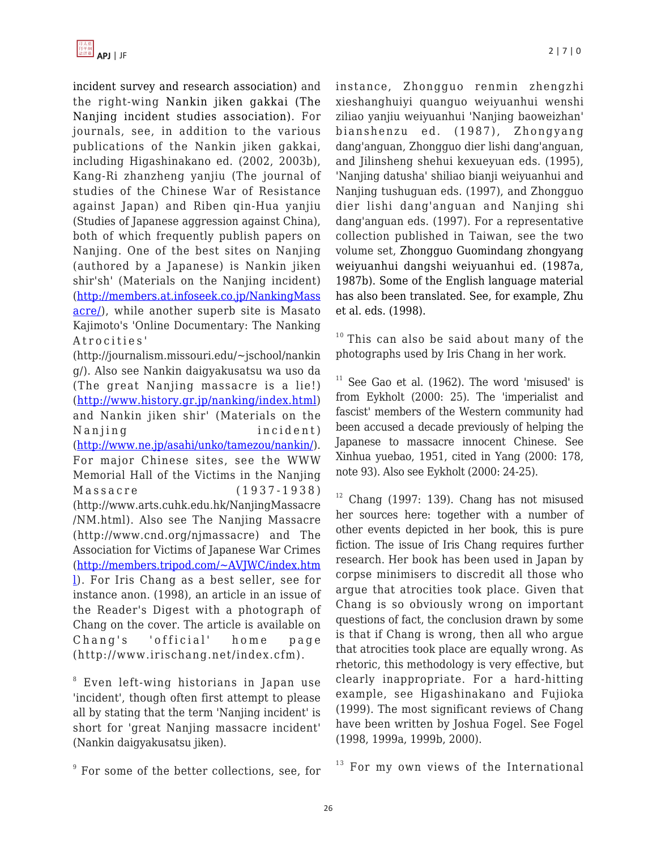incident survey and research association) and the right-wing Nankin jiken gakkai (The Nanjing incident studies association). For journals, see, in addition to the various publications of the Nankin jiken gakkai, including Higashinakano ed. (2002, 2003b), Kang-Ri zhanzheng yanjiu (The journal of studies of the Chinese War of Resistance against Japan) and Riben qin-Hua yanjiu (Studies of Japanese aggression against China), both of which frequently publish papers on Nanjing. One of the best sites on Nanjing (authored by a Japanese) is Nankin jiken shir'sh' (Materials on the Nanjing incident) ([http://members.at.infoseek.co.jp/NankingMass](http://members.at.infoseek.co.jp/NankingMassacre/) [acre/](http://members.at.infoseek.co.jp/NankingMassacre/)), while another superb site is Masato Kajimoto's 'Online Documentary: The Nanking Atrocities'

(http://journalism.missouri.edu/~jschool/nankin g/). Also see Nankin daigyakusatsu wa uso da (The great Nanjing massacre is a lie!) (<http://www.history.gr.jp/nanking/index.html>) and Nankin jiken shir' (Materials on the Nanjing incident) (<http://www.ne.jp/asahi/unko/tamezou/nankin/>). For major Chinese sites, see the WWW Memorial Hall of the Victims in the Nanjing Massacre (1937-1938) (http://www.arts.cuhk.edu.hk/NanjingMassacre /NM.html). Also see The Nanjing Massacre (http://www.cnd.org/njmassacre) and The Association for Victims of Japanese War Crimes ([http://members.tripod.com/~AVJWC/index.htm](http://members.tripod.com/~AVJWC/index.html) [l\)](http://members.tripod.com/~AVJWC/index.html). For Iris Chang as a best seller, see for instance anon. (1998), an article in an issue of the Reader's Digest with a photograph of Chang on the cover. The article is available on Chang's 'official' home page (http://www.irischang.net/index.cfm).

8 Even left-wing historians in Japan use 'incident', though often first attempt to please all by stating that the term 'Nanjing incident' is short for 'great Nanjing massacre incident' (Nankin daigyakusatsu jiken).

9 For some of the better collections, see, for

instance, Zhongguo renmin zhengzhi xieshanghuiyi quanguo weiyuanhui wenshi ziliao yanjiu weiyuanhui 'Nanjing baoweizhan' bianshenzu ed. (1987), Zhongyang dang'anguan, Zhongguo dier lishi dang'anguan, and Jilinsheng shehui kexueyuan eds. (1995), 'Nanjing datusha' shiliao bianji weiyuanhui and Nanjing tushuguan eds. (1997), and Zhongguo dier lishi dang'anguan and Nanjing shi dang'anguan eds. (1997). For a representative collection published in Taiwan, see the two volume set, Zhongguo Guomindang zhongyang weiyuanhui dangshi weiyuanhui ed. (1987a, 1987b). Some of the English language material has also been translated. See, for example, Zhu et al. eds. (1998).

 $10$  This can also be said about many of the photographs used by Iris Chang in her work.

 $11$  See Gao et al. (1962). The word 'misused' is from Eykholt (2000: 25). The 'imperialist and fascist' members of the Western community had been accused a decade previously of helping the Japanese to massacre innocent Chinese. See Xinhua yuebao, 1951, cited in Yang (2000: 178, note 93). Also see Eykholt (2000: 24-25).

 $12$  Chang (1997: 139). Chang has not misused her sources here: together with a number of other events depicted in her book, this is pure fiction. The issue of Iris Chang requires further research. Her book has been used in Japan by corpse minimisers to discredit all those who argue that atrocities took place. Given that Chang is so obviously wrong on important questions of fact, the conclusion drawn by some is that if Chang is wrong, then all who argue that atrocities took place are equally wrong. As rhetoric, this methodology is very effective, but clearly inappropriate. For a hard-hitting example, see Higashinakano and Fujioka (1999). The most significant reviews of Chang have been written by Joshua Fogel. See Fogel (1998, 1999a, 1999b, 2000).

 $13$  For my own views of the International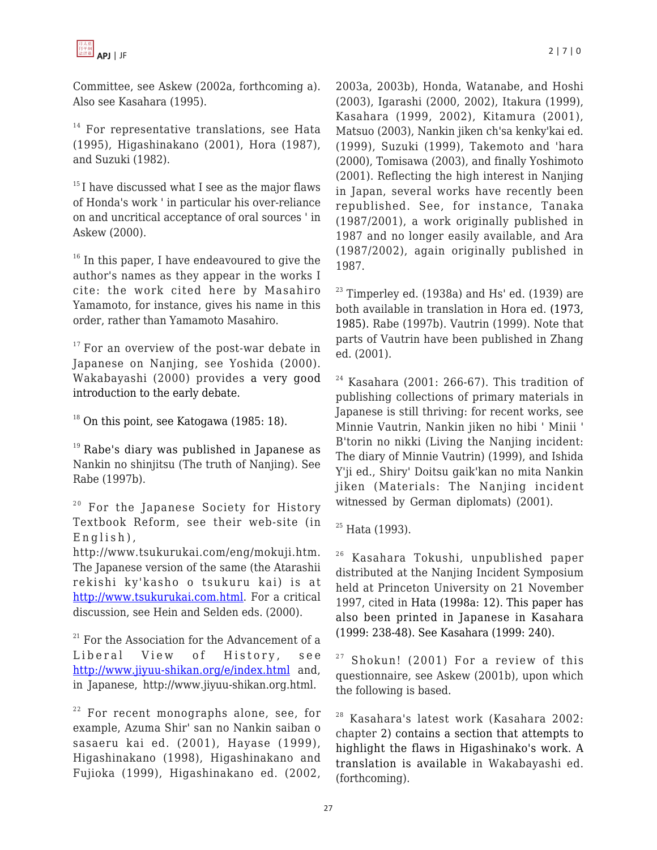Committee, see Askew (2002a, forthcoming a). Also see Kasahara (1995).

 $14$  For representative translations, see Hata (1995), Higashinakano (2001), Hora (1987), and Suzuki (1982).

 $15$ I have discussed what I see as the major flaws of Honda's work ' in particular his over-reliance on and uncritical acceptance of oral sources ' in Askew (2000).

 $16$  In this paper, I have endeavoured to give the author's names as they appear in the works I cite: the work cited here by Masahiro Yamamoto, for instance, gives his name in this order, rather than Yamamoto Masahiro.

 $17$  For an overview of the post-war debate in Japanese on Nanjing, see Yoshida (2000). Wakabayashi (2000) provides a very good introduction to the early debate.

 $18$  On this point, see Katogawa (1985: 18).

 $19$  Rabe's diary was published in Japanese as Nankin no shinjitsu (The truth of Nanjing). See Rabe (1997b).

<sup>20</sup> For the Japanese Society for History Textbook Reform, see their web-site (in English),

http://www.tsukurukai.com/eng/mokuji.htm. The Japanese version of the same (the Atarashii rekishi ky'kasho o tsukuru kai) is at [http://www.tsukurukai.com.html.](http://www.tsukurukai.com.html/) For a critical discussion, see Hein and Selden eds. (2000).

 $21$  For the Association for the Advancement of a Liberal View of History, see <http://www.jiyuu-shikan.org/e/index.html> and, in Japanese, http://www.jiyuu-shikan.org.html.

 $22$  For recent monographs alone, see, for example, Azuma Shir' san no Nankin saiban o sasaeru kai ed. (2001), Hayase (1999), Higashinakano (1998), Higashinakano and Fujioka (1999), Higashinakano ed. (2002, 2003a, 2003b), Honda, Watanabe, and Hoshi (2003), Igarashi (2000, 2002), Itakura (1999), Kasahara (1999, 2002), Kitamura (2001), Matsuo (2003), Nankin jiken ch'sa kenky'kai ed. (1999), Suzuki (1999), Takemoto and 'hara (2000), Tomisawa (2003), and finally Yoshimoto (2001). Reflecting the high interest in Nanjing in Japan, several works have recently been republished. See, for instance, Tanaka (1987/2001), a work originally published in 1987 and no longer easily available, and Ara (1987/2002), again originally published in 1987.

 $23$  Timperley ed. (1938a) and Hs' ed. (1939) are both available in translation in Hora ed. (1973, 1985). Rabe (1997b). Vautrin (1999). Note that parts of Vautrin have been published in Zhang ed. (2001).

 $24$  Kasahara (2001: 266-67). This tradition of publishing collections of primary materials in Japanese is still thriving: for recent works, see Minnie Vautrin, Nankin jiken no hibi ' Minii ' B'torin no nikki (Living the Nanjing incident: The diary of Minnie Vautrin) (1999), and Ishida Y'ji ed., Shiry' Doitsu gaik'kan no mita Nankin jiken (Materials: The Nanjing incident witnessed by German diplomats) (2001).

<sup>25</sup> Hata (1993).

<sup>26</sup> Kasahara Tokushi, unpublished paper distributed at the Nanjing Incident Symposium held at Princeton University on 21 November 1997, cited in Hata (1998a: 12). This paper has also been printed in Japanese in Kasahara (1999: 238-48). See Kasahara (1999: 240).

 $27$  Shokun! (2001) For a review of this questionnaire, see Askew (2001b), upon which the following is based.

<sup>28</sup> Kasahara's latest work (Kasahara 2002: chapter 2) contains a section that attempts to highlight the flaws in Higashinako's work. A translation is available in Wakabayashi ed. (forthcoming).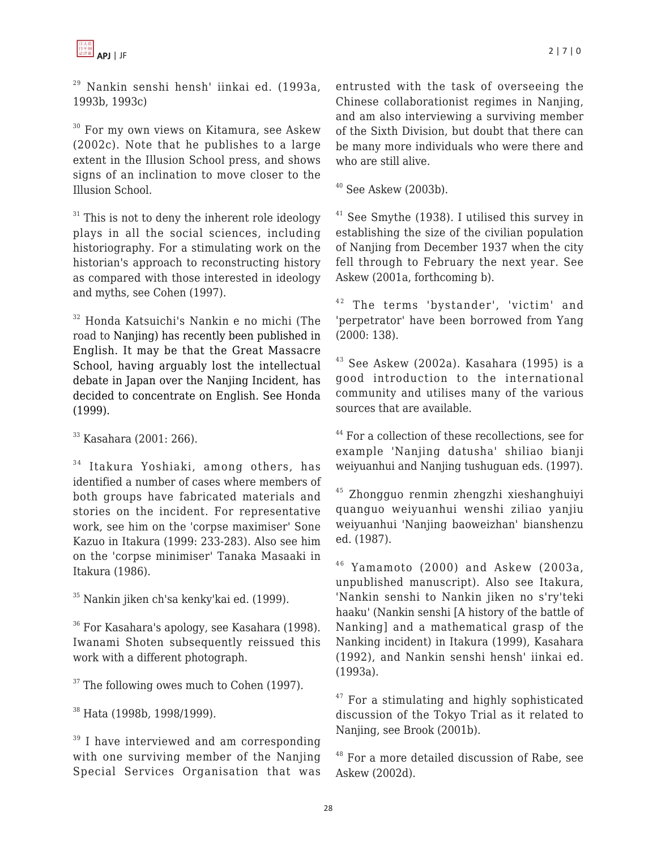<sup>29</sup> Nankin senshi hensh' iinkai ed. (1993a, 1993b, 1993c)

<sup>30</sup> For my own views on Kitamura, see Askew (2002c). Note that he publishes to a large extent in the Illusion School press, and shows signs of an inclination to move closer to the Illusion School.

 $31$  This is not to deny the inherent role ideology plays in all the social sciences, including historiography. For a stimulating work on the historian's approach to reconstructing history as compared with those interested in ideology and myths, see Cohen (1997).

<sup>32</sup> Honda Katsuichi's Nankin e no michi (The road to Nanjing) has recently been published in English. It may be that the Great Massacre School, having arguably lost the intellectual debate in Japan over the Nanjing Incident, has decided to concentrate on English. See Honda (1999).

 $33$  Kasahara (2001: 266).

 $34$  Itakura Yoshiaki, among others, has identified a number of cases where members of both groups have fabricated materials and stories on the incident. For representative work, see him on the 'corpse maximiser' Sone Kazuo in Itakura (1999: 233-283). Also see him on the 'corpse minimiser' Tanaka Masaaki in Itakura (1986).

<sup>35</sup> Nankin jiken ch'sa kenky'kai ed. (1999).

<sup>36</sup> For Kasahara's apology, see Kasahara (1998). Iwanami Shoten subsequently reissued this work with a different photograph.

 $37$  The following owes much to Cohen (1997).

<sup>38</sup> Hata (1998b, 1998/1999).

 $39$  I have interviewed and am corresponding with one surviving member of the Nanjing Special Services Organisation that was entrusted with the task of overseeing the Chinese collaborationist regimes in Nanjing, and am also interviewing a surviving member of the Sixth Division, but doubt that there can be many more individuals who were there and who are still alive.

 $40$  See Askew (2003b).

 $41$  See Smythe (1938). I utilised this survey in establishing the size of the civilian population of Nanjing from December 1937 when the city fell through to February the next year. See Askew (2001a, forthcoming b).

<sup>42</sup> The terms 'bystander', 'victim' and 'perpetrator' have been borrowed from Yang (2000: 138).

 $43$  See Askew (2002a). Kasahara (1995) is a good introduction to the international community and utilises many of the various sources that are available.

<sup>44</sup> For a collection of these recollections, see for example 'Nanjing datusha' shiliao bianji weiyuanhui and Nanjing tushuguan eds. (1997).

<sup>45</sup> Zhongguo renmin zhengzhi xieshanghuiyi quanguo weiyuanhui wenshi ziliao yanjiu weiyuanhui 'Nanjing baoweizhan' bianshenzu ed. (1987).

 $46$  Yamamoto (2000) and Askew (2003a, unpublished manuscript). Also see Itakura, 'Nankin senshi to Nankin jiken no s'ry'teki haaku' (Nankin senshi [A history of the battle of Nanking] and a mathematical grasp of the Nanking incident) in Itakura (1999), Kasahara (1992), and Nankin senshi hensh' iinkai ed. (1993a).

 $47$  For a stimulating and highly sophisticated discussion of the Tokyo Trial as it related to Nanjing, see Brook (2001b).

<sup>48</sup> For a more detailed discussion of Rabe, see Askew (2002d).